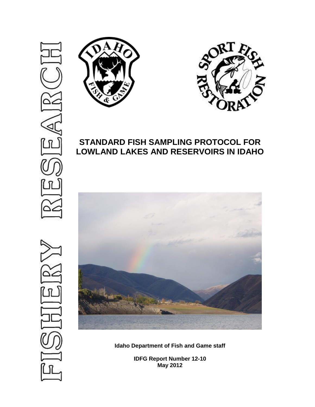



# **STANDARD FISH SAMPLING PROTOCOL FOR LOWLAND LAKES AND RESERVOIRS IN IDAHO**



**Idaho Department of Fish and Game staff**

**IDFG Report Number 12-10 May 2012**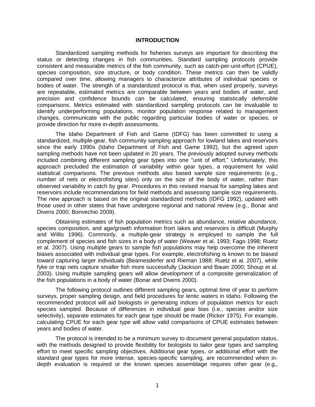#### **INTRODUCTION**

Standardized sampling methods for fisheries surveys are important for describing the status or detecting changes in fish communities. Standard sampling protocols provide consistent and measurable metrics of the fish community, such as catch-per-unit-effort (CPUE), species composition, size structure, or body condition. These metrics can then be validly compared over time, allowing managers to characterize attributes of individual species or bodies of water. The strength of a standardized protocol is that, when used properly, surveys are repeatable, estimated metrics are comparable between years and bodies of water, and precision and confidence bounds can be calculated, ensuring statistically defensible comparisons. Metrics estimated with standardized sampling protocols can be invaluable to identify underperforming populations, monitor population response related to management changes, communicate with the public regarding particular bodies of water or species, or provide direction for more in-depth assessments.

The Idaho Department of Fish and Game (IDFG) has been committed to using a standardized, multiple-gear, fish community sampling approach for lowland lakes and reservoirs since the early 1990s (Idaho Department of Fish and Game 1992), but the agreed upon sampling methods have not been updated in 20 years. The previously adopted survey methods included combining different sampling gear types into one "unit of effort." Unfortunately, this approach precluded the estimation of variability within gear types, a requirement for valid statistical comparisons. The previous methods also based sample size requirements (e.g., number of nets or electrofishing sites) only on the size of the body of water, rather than observed variability in catch by gear. Procedures in this revised manual for sampling lakes and reservoirs include recommendations for field methods and assessing sample size requirements. The new approach is based on the original standardized methods (IDFG 1992), updated with those used in other states that have undergone regional and national review (e.g., Bonar and Divens 2000; Bonvechio 2009).

Obtaining estimates of fish population metrics such as abundance, relative abundance, species composition, and age/growth information from lakes and reservoirs is difficult (Murphy and Willis 1996). Commonly, a multiple-gear strategy is employed to sample the full complement of species and fish sizes in a body of water (Weaver et al. 1993; Fago 1998; Ruetz et al. 2007). Using multiple gears to sample fish populations may help overcome the inherent biases associated with individual gear types. For example, electrofishing is known to be biased toward capturing larger individuals (Beamesderfer and Rieman 1988; Ruetz et al. 2007), while fyke or trap nets capture smaller fish more successfully (Jackson and Bauer 2000; Shoup et al. 2003). Using multiple sampling gears will allow development of a composite generalization of the fish populations in a body of water (Bonar and Divens 2000).

The following protocol outlines different sampling gears, optimal time of year to perform surveys, proper sampling design, and field procedures for lentic waters in Idaho. Following the recommended protocol will aid biologists in generating indices of population metrics for each species sampled. Because of differences in individual gear bias (i.e., species and/or size selectivity), separate estimates for each gear type should be made (Ricker 1975). For example, calculating CPUE for each gear type will allow valid comparisons of CPUE estimates between years and bodies of water.

The protocol is intended to be a minimum survey to document general population status, with the methods designed to provide flexibility for biologists to tailor gear types and sampling effort to meet specific sampling objectives. Additional gear types, or additional effort with the standard gear types for more intense, species-specific sampling, are recommended when indepth evaluation is required or the known species assemblage requires other gear (e.g.,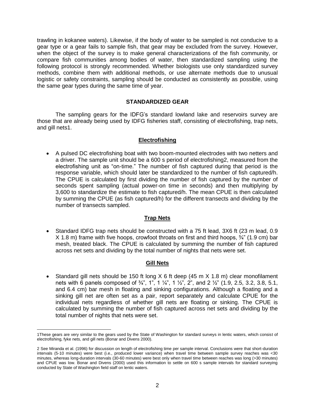trawling in kokanee waters). Likewise, if the body of water to be sampled is not conducive to a gear type or a gear fails to sample fish, that gear may be excluded from the survey. However, when the object of the survey is to make general characterizations of the fish community, or compare fish communities among bodies of water, then standardized sampling using the following protocol is strongly recommended. Whether biologists use only standardized survey methods, combine them with additional methods, or use alternate methods due to unusual logistic or safety constraints, sampling should be conducted as consistently as possible, using the same gear types during the same time of year.

### **STANDARDIZED GEAR**

The sampling gears for the IDFG's standard lowland lake and reservoirs survey are those that are already being used by IDFG fisheries staff, consisting of electrofishing, trap nets, and gill nets1.

### **Electrofishing**

 A pulsed DC electrofishing boat with two boom-mounted electrodes with two netters and a driver. The sample unit should be a 600 s period of electrofishing2, measured from the electrofishing unit as "on-time." The number of fish captured during that period is the response variable, which should later be standardized to the number of fish captured/h. The CPUE is calculated by first dividing the number of fish captured by the number of seconds spent sampling (actual power-on time in seconds) and then multiplying by 3,600 to standardize the estimate to fish captured/h. The mean CPUE is then calculated by summing the CPUE (as fish captured/h) for the different transects and dividing by the number of transects sampled.

### **Trap Nets**

 Standard IDFG trap nets should be constructed with a 75 ft lead, 3X6 ft (23 m lead, 0.9 X 1.8 m) frame with five hoops, crowfoot throats on first and third hoops,  $\frac{3}{4}$ " (1.9 cm) bar mesh, treated black. The CPUE is calculated by summing the number of fish captured across net sets and dividing by the total number of nights that nets were set.

### **Gill Nets**

 Standard gill nets should be 150 ft long X 6 ft deep (45 m X 1.8 m) clear monofilament nets with 6 panels composed of  $\frac{3}{4}$ , 1, 1, 1,  $\frac{1}{4}$ , 1,  $\frac{1}{2}$ , 2, and 2,  $\frac{1}{2}$ , (1.9, 2.5, 3.2, 3.8, 5.1, and 6.4 cm) bar mesh in floating and sinking configurations. Although a floating and a sinking gill net are often set as a pair, report separately and calculate CPUE for the individual nets regardless of whether gill nets are floating or sinking. The CPUE is calculated by summing the number of fish captured across net sets and dividing by the total number of nights that nets were set.

<sup>1</sup>These gears are very similar to the gears used by the State of Washington for standard surveys in lentic waters, which consist of electrofishing, fyke nets, and gill nets (Bonar and Divens 2000).

<sup>2</sup> See Miranda et al. (1996) for discussion on length of electrofishing time per sample interval. Conclusions were that short-duration intervals (5-10 minutes) were best (i.e., produced lower variance) when travel time between sample survey reaches was <30 minutes, whereas long-duration intervals (30-60 minutes) were best only when travel time between reaches was long (>30 minutes) and CPUE was low. Bonar and Divens (2000) used this information to settle on 600 s sample intervals for standard surveying conducted by State of Washington field staff on lentic waters.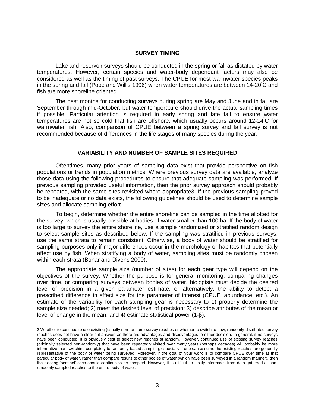#### **SURVEY TIMING**

Lake and reservoir surveys should be conducted in the spring or fall as dictated by water temperatures. However, certain species and water-body dependant factors may also be considered as well as the timing of past surveys. The CPUE for most warmwater species peaks in the spring and fall (Pope and Willis 1996) when water temperatures are between 14-20°C and fish are more shoreline oriented.

The best months for conducting surveys during spring are May and June and in fall are September through mid-October, but water temperature should drive the actual sampling times if possible. Particular attention is required in early spring and late fall to ensure water temperatures are not so cold that fish are offshore, which usually occurs around 12-14°C for warmwater fish. Also, comparison of CPUE between a spring survey and fall survey is not recommended because of differences in the life stages of many species during the year.

#### **VARIABILITY AND NUMBER OF SAMPLE SITES REQUIRED**

Oftentimes, many prior years of sampling data exist that provide perspective on fish populations or trends in population metrics. Where previous survey data are available, analyze those data using the following procedures to ensure that adequate sampling was performed. If previous sampling provided useful information, then the prior survey approach should probably be repeated, with the same sites revisited where appropriate3. If the previous sampling proved to be inadequate or no data exists, the following guidelines should be used to determine sample sizes and allocate sampling effort.

To begin, determine whether the entire shoreline can be sampled in the time allotted for the survey, which is usually possible at bodies of water smaller than 100 ha. If the body of water is too large to survey the entire shoreline, use a simple randomized or stratified random design to select sample sites as described below. If the sampling was stratified in previous surveys, use the same strata to remain consistent. Otherwise, a body of water should be stratified for sampling purposes only if major differences occur in the morphology or habitats that potentially affect use by fish. When stratifying a body of water, sampling sites must be randomly chosen within each strata (Bonar and Divens 2000).

The appropriate sample size (number of sites) for each gear type will depend on the objectives of the survey. Whether the purpose is for general monitoring, comparing changes over time, or comparing surveys between bodies of water, biologists must decide the desired level of precision in a given parameter estimate, or alternatively, the ability to detect a prescribed difference in effect size for the parameter of interest (CPUE, abundance, etc.). An estimate of the variability for each sampling gear is necessary to 1) properly determine the sample size needed; 2) meet the desired level of precision; 3) describe attributes of the mean or level of change in the mean; and 4) estimate statistical power (1-β).

<sup>3</sup> Whether to continue to use existing (usually non-random) survey reaches or whether to switch to new, randomly-distributed survey reaches does not have a clear-cut answer, as there are advantages and disadvantages to either decision. In general, if no surveys have been conducted, it is obviously best to select new reaches at random. However, continued use of existing survey reaches (originally selected non-randomly) that have been repeatedly visited over many years (perhaps decades) will probably be more informative than switching completely to randomly-based sampling, especially if one can assume the existing reaches are generally representative of the body of water being surveyed. Moreover, if the goal of your work is to compare CPUE over time at that particular body of water, rather than compare results to other bodies of water (which have been surveyed in a random manner), then the existing 'sentinel' sites should continue to be sampled. However, it is difficult to justify inferences from data gathered at nonrandomly sampled reaches to the entire body of water.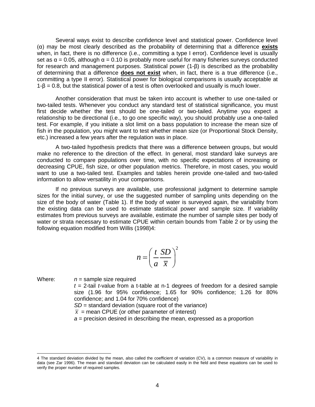Several ways exist to describe confidence level and statistical power. Confidence level (α) may be most clearly described as the probability of determining that a difference **exists** when, in fact, there is no difference (i.e., committing a type I error). Confidence level is usually set as  $\alpha$  = 0.05, although  $\alpha$  = 0.10 is probably more useful for many fisheries surveys conducted for research and management purposes. Statistical power (1-β) is described as the probability of determining that a difference **does not exist** when, in fact, there is a true difference (i.e., committing a type II error). Statistical power for biological comparisons is usually acceptable at  $1-\beta = 0.8$ , but the statistical power of a test is often overlooked and usually is much lower.

Another consideration that must be taken into account is whether to use one-tailed or two-tailed tests. Whenever you conduct any standard test of statistical significance, you must first decide whether the test should be one-tailed or two-tailed. Anytime you expect a relationship to be directional (i.e., to go one specific way), you should probably use a one-tailed test. For example, if you initiate a slot limit on a bass population to increase the mean size of fish in the population, you might want to test whether mean size (or Proportional Stock Density, etc.) increased a few years after the regulation was in place.

A two-tailed hypothesis predicts that there was a difference between groups, but would make no reference to the direction of the effect. In general, most standard lake surveys are conducted to compare populations over time, with no specific expectations of increasing or decreasing CPUE, fish size, or other population metrics. Therefore, in most cases, you would want to use a two-tailed test. Examples and tables herein provide one-tailed and two-tailed information to allow versatility in your comparisons.

If no previous surveys are available, use professional judgment to determine sample sizes for the initial survey, or use the suggested number of sampling units depending on the size of the body of water (Table 1). If the body of water is surveyed again, the variability from the existing data can be used to estimate statistical power and sample size. If variability estimates from previous surveys are available, estimate the number of sample sites per body of water or strata necessary to estimate CPUE within certain bounds from Table 2 or by using the following equation modified from Willis (1998)4:

$$
n = \left(\frac{t}{a}\frac{SD}{\overline{x}}\right)^2
$$

Where:  $n =$  sample size required *t* = 2-tail *t*-value from a t-table at n-1 degrees of freedom for a desired sample size (1.96 for 95% confidence; 1.65 for 90% confidence; 1.26 for 80% confidence; and 1.04 for 70% confidence) *SD* = standard deviation (square root of the variance)  $\bar{x}$  = mean CPUE (or other parameter of interest) *a* = precision desired in describing the mean, expressed as a proportion

 4 The standard deviation divided by the mean, also called the coefficient of variation (CV), is a common measure of variability in data (see Zar 1996). The mean and standard deviation can be calculated easily in the field and these equations can be used to verify the proper number of required samples.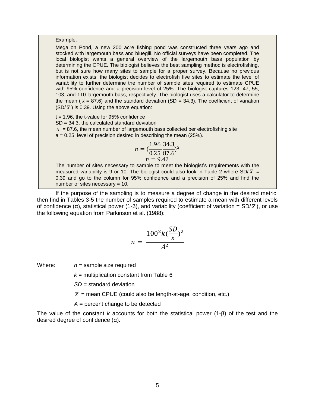#### Example:

Megallon Pond, a new 200 acre fishing pond was constructed three years ago and stocked with largemouth bass and bluegill. No official surveys have been completed. The local biologist wants a general overview of the largemouth bass population by determining the CPUE. The biologist believes the best sampling method is electrofishing, but is not sure how many sites to sample for a proper survey. Because no previous information exists, the biologist decides to electrofish five sites to estimate the level of variability to further determine the number of sample sites required to estimate CPUE with 95% confidence and a precision level of 25%. The biologist captures 123, 47, 55, 103, and 110 largemouth bass, respectively. The biologist uses a calculator to determine the mean ( $\bar{x}$  = 87.6) and the standard deviation (SD = 34.3). The coefficient of variation  $(SD/\overline{x})$  is 0.39. Using the above equation:

 $t = 1.96$ , the t-value for 95% confidence  $SD = 34.3$ , the calculated standard deviation  $\bar{x}$  = 87.6, the mean number of largemouth bass collected per electrofishing site  $a = 0.25$ , level of precision desired in describing the mean (25%).

$$
n = \left(\frac{1.96}{0.25} \frac{34.3}{87.6}\right)^2
$$
  

$$
n = 9.42
$$

The number of sites necessary to sample to meet the biologist's requirements with the measured variability is 9 or 10. The biologist could also look in Table 2 where SD/ $\bar{x}$  = 0.39 and go to the column for 95% confidence and a precision of 25% and find the number of sites necessary = 10.

If the purpose of the sampling is to measure a degree of change in the desired metric, then find in Tables 3-5 the number of samples required to estimate a mean with different levels of confidence (α), statistical power (1-β), and variability (coefficient of variation = SD/ $\bar{x}$ ), or use the following equation from Parkinson et al. (1988):

$$
n = \frac{100^2 k \left(\frac{SD}{\overline{x}}\right)^2}{A^2}
$$

Where:  $n =$  sample size required

 $k$  = multiplication constant from Table 6

*SD* = standard deviation

 $\overline{x}$  = mean CPUE (could also be length-at-age, condition, etc.)

*A* = percent change to be detected

The value of the constant *k* accounts for both the statistical power (1-β) of the test and the desired degree of confidence  $(\alpha)$ .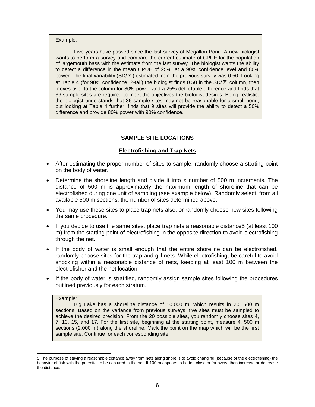#### Example:

Five years have passed since the last survey of Megallon Pond. A new biologist wants to perform a survey and compare the current estimate of CPUE for the population of largemouth bass with the estimate from the last survey. The biologist wants the ability to detect a difference in the mean CPUE of 25%, at a 90% confidence level and 80% power. The final variability (SD/ $\overline{x}$ ) estimated from the previous survey was 0.50. Looking at Table 4 (for 90% confidence, 2-tail) the biologist finds 0.50 in the SD/ $\bar{x}$  column, then moves over to the column for 80% power and a 25% detectable difference and finds that 36 sample sites are required to meet the objectives the biologist desires. Being realistic, the biologist understands that 36 sample sites may not be reasonable for a small pond, but looking at Table 4 further, finds that 9 sites will provide the ability to detect a 50% difference and provide 80% power with 90% confidence.

# **SAMPLE SITE LOCATIONS**

## **Electrofishing and Trap Nets**

- After estimating the proper number of sites to sample, randomly choose a starting point on the body of water.
- Determine the shoreline length and divide it into *x* number of 500 m increments. The distance of 500 m is approximately the maximum length of shoreline that can be electrofished during one unit of sampling (see example below). Randomly select, from all available 500 m sections, the number of sites determined above.
- You may use these sites to place trap nets also, or randomly choose new sites following the same procedure.
- If you decide to use the same sites, place trap nets a reasonable distance5 (at least 100 m) from the starting point of electrofishing in the opposite direction to avoid electrofishing through the net.
- If the body of water is small enough that the entire shoreline can be electrofished, randomly choose sites for the trap and gill nets. While electrofishing, be careful to avoid shocking within a reasonable distance of nets, keeping at least 100 m between the electrofisher and the net location.
- If the body of water is stratified, randomly assign sample sites following the procedures outlined previously for each stratum.

#### Example:

Big Lake has a shoreline distance of 10,000 m, which results in 20, 500 m sections. Based on the variance from previous surveys, five sites must be sampled to achieve the desired precision. From the 20 possible sites, you randomly choose sites 4, 7, 13, 15, and 17. For the first site, beginning at the starting point, measure 4, 500 m sections (2,000 m) along the shoreline. Mark the point on the map which will be the first sample site. Continue for each corresponding site.

 5 The purpose of staying a reasonable distance away from nets along shore is to avoid changing (because of the electrofishing) the behavior of fish with the potential to be captured in the net. If 100 m appears to be too close or far away, then increase or decrease the distance.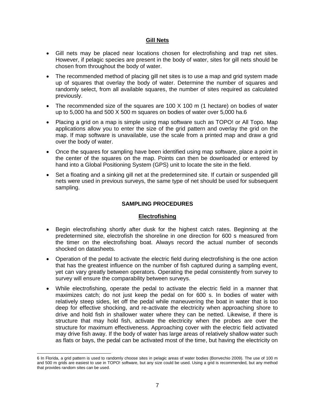#### **Gill Nets**

- Gill nets may be placed near locations chosen for electrofishing and trap net sites. However, if pelagic species are present in the body of water, sites for gill nets should be chosen from throughout the body of water.
- The recommended method of placing gill net sites is to use a map and grid system made up of squares that overlay the body of water. Determine the number of squares and randomly select, from all available squares, the number of sites required as calculated previously.
- The recommended size of the squares are 100 X 100 m (1 hectare) on bodies of water up to 5,000 ha and 500 X 500 m squares on bodies of water over 5,000 ha.6
- Placing a grid on a map is simple using map software such as TOPO! or All Topo. Map applications allow you to enter the size of the grid pattern and overlay the grid on the map. If map software is unavailable, use the scale from a printed map and draw a grid over the body of water.
- Once the squares for sampling have been identified using map software, place a point in the center of the squares on the map. Points can then be downloaded or entered by hand into a Global Positioning System (GPS) unit to locate the site in the field.
- Set a floating and a sinking gill net at the predetermined site. If curtain or suspended gill nets were used in previous surveys, the same type of net should be used for subsequent sampling.

### **SAMPLING PROCEDURES**

#### **Electrofishing**

- Begin electrofishing shortly after dusk for the highest catch rates. Beginning at the predetermined site, electrofish the shoreline in one direction for 600 s measured from the timer on the electrofishing boat. Always record the actual number of seconds shocked on datasheets.
- Operation of the pedal to activate the electric field during electrofishing is the one action that has the greatest influence on the number of fish captured during a sampling event, yet can vary greatly between operators. Operating the pedal consistently from survey to survey will ensure the comparability between surveys.
- While electrofishing, operate the pedal to activate the electric field in a manner that maximizes catch; do not just keep the pedal on for 600 s. In bodies of water with relatively steep sides, let off the pedal while maneuvering the boat in water that is too deep for effective shocking, and re-activate the electricity when approaching shore to drive and hold fish in shallower water where they can be netted. Likewise, if there is structure that may hold fish, activate the electricity when the probes are over the structure for maximum effectiveness. Approaching cover with the electric field activated may drive fish away. If the body of water has large areas of relatively shallow water such as flats or bays, the pedal can be activated most of the time, but having the electricity on

 6 In Florida, a grid pattern is used to randomly choose sites in pelagic areas of water bodies (Bonvechio 2009). The use of 100 m and 500 m grids are easiest to use in TOPO! software, but any size could be used. Using a grid is recommended, but any method that provides random sites can be used.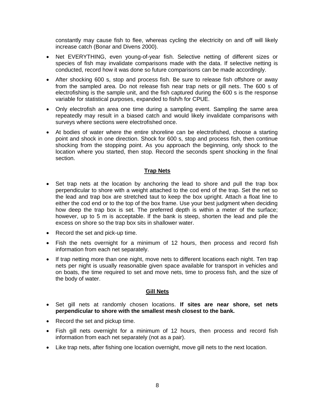constantly may cause fish to flee, whereas cycling the electricity on and off will likely increase catch (Bonar and Divens 2000).

- Net EVERYTHING, even young-of-year fish. Selective netting of different sizes or species of fish may invalidate comparisons made with the data. If selective netting is conducted, record how it was done so future comparisons can be made accordingly.
- After shocking 600 s, stop and process fish. Be sure to release fish offshore or away from the sampled area. Do not release fish near trap nets or gill nets. The 600 s of electrofishing is the sample unit, and the fish captured during the 600 s is the response variable for statistical purposes, expanded to fish/h for CPUE.
- Only electrofish an area one time during a sampling event. Sampling the same area repeatedly may result in a biased catch and would likely invalidate comparisons with surveys where sections were electrofished once.
- At bodies of water where the entire shoreline can be electrofished, choose a starting point and shock in one direction. Shock for 600 s, stop and process fish, then continue shocking from the stopping point. As you approach the beginning, only shock to the location where you started, then stop. Record the seconds spent shocking in the final section.

### **Trap Nets**

- Set trap nets at the location by anchoring the lead to shore and pull the trap box perpendicular to shore with a weight attached to the cod end of the trap. Set the net so the lead and trap box are stretched taut to keep the box upright. Attach a float line to either the cod end or to the top of the box frame. Use your best judgment when deciding how deep the trap box is set. The preferred depth is within a meter of the surface; however, up to 5 m is acceptable. If the bank is steep, shorten the lead and pile the excess on shore so the trap box sits in shallower water.
- Record the set and pick-up time.
- Fish the nets overnight for a minimum of 12 hours, then process and record fish information from each net separately.
- If trap netting more than one night, move nets to different locations each night. Ten trap nets per night is usually reasonable given space available for transport in vehicles and on boats, the time required to set and move nets, time to process fish, and the size of the body of water.

### **Gill Nets**

- Set gill nets at randomly chosen locations. **If sites are near shore, set nets perpendicular to shore with the smallest mesh closest to the bank.**
- Record the set and pickup time.
- Fish gill nets overnight for a minimum of 12 hours, then process and record fish information from each net separately (not as a pair).
- Like trap nets, after fishing one location overnight, move gill nets to the next location.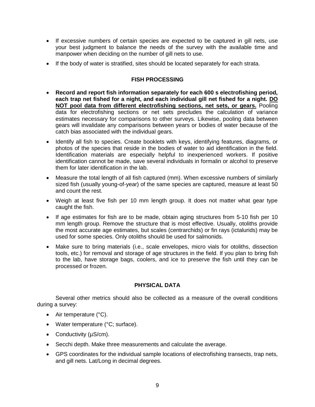- If excessive numbers of certain species are expected to be captured in gill nets, use your best judgment to balance the needs of the survey with the available time and manpower when deciding on the number of gill nets to use.
- If the body of water is stratified, sites should be located separately for each strata.

# **FISH PROCESSING**

- **Record and report fish information separately for each 600 s electrofishing period, each trap net fished for a night, and each individual gill net fished for a night. DO NOT pool data from different electrofishing sections, net sets, or gears.** Pooling data for electrofishing sections or net sets precludes the calculation of variance estimates necessary for comparisons to other surveys. Likewise, pooling data between gears will invalidate any comparisons between years or bodies of water because of the catch bias associated with the individual gears.
- Identify all fish to species. Create booklets with keys, identifying features, diagrams, or photos of the species that reside in the bodies of water to aid identification in the field. Identification materials are especially helpful to inexperienced workers. If positive identification cannot be made, save several individuals in formalin or alcohol to preserve them for later identification in the lab.
- Measure the total length of all fish captured (mm). When excessive numbers of similarly sized fish (usually young-of-year) of the same species are captured, measure at least 50 and count the rest.
- Weigh at least five fish per 10 mm length group. It does not matter what gear type caught the fish.
- If age estimates for fish are to be made, obtain aging structures from 5-10 fish per 10 mm length group. Remove the structure that is most effective. Usually, otoliths provide the most accurate age estimates, but scales (centrarchids) or fin rays (ictalurids) may be used for some species. Only otoliths should be used for salmonids.
- Make sure to bring materials (i.e., scale envelopes, micro vials for otoliths, dissection tools, etc.) for removal and storage of age structures in the field. If you plan to bring fish to the lab, have storage bags, coolers, and ice to preserve the fish until they can be processed or frozen.

### **PHYSICAL DATA**

Several other metrics should also be collected as a measure of the overall conditions during a survey:

- Air temperature (°C).
- Water temperature (°C; surface).
- Conductivity (µS/cm).
- Secchi depth. Make three measurements and calculate the average.
- GPS coordinates for the individual sample locations of electrofishing transects, trap nets, and gill nets. Lat/Long in decimal degrees.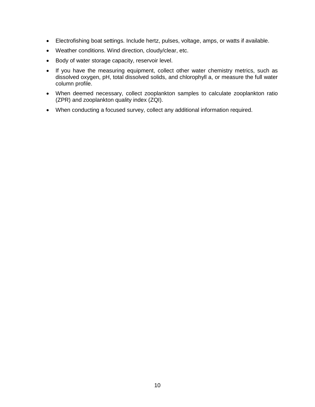- Electrofishing boat settings. Include hertz, pulses, voltage, amps, or watts if available.
- Weather conditions. Wind direction, cloudy/clear, etc.
- Body of water storage capacity, reservoir level.
- If you have the measuring equipment, collect other water chemistry metrics, such as dissolved oxygen, pH, total dissolved solids, and chlorophyll a, or measure the full water column profile.
- When deemed necessary, collect zooplankton samples to calculate zooplankton ratio (ZPR) and zooplankton quality index (ZQI).
- When conducting a focused survey, collect any additional information required.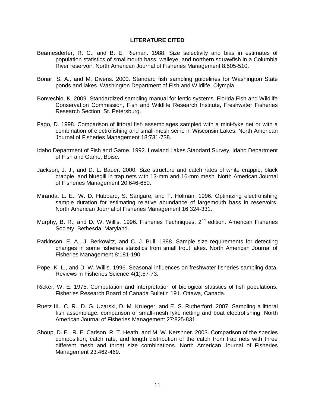#### **LITERATURE CITED**

- Beamesderfer, R. C., and B. E. Rieman. 1988. [Size selectivity and bias in estimates of](http://afsjournals.org/doi/abs/10.1577/1548-8675%281988%29008%3C0505%3ASSABIE%3E2.3.CO%3B2)  [population statistics of smallmouth bass, walleye, and northern squawfish in a Columbia](http://afsjournals.org/doi/abs/10.1577/1548-8675%281988%29008%3C0505%3ASSABIE%3E2.3.CO%3B2)  [River reservoir.](http://afsjournals.org/doi/abs/10.1577/1548-8675%281988%29008%3C0505%3ASSABIE%3E2.3.CO%3B2) North American Journal of Fisheries Management 8:505-510.
- Bonar, S. A., and M. Divens. 2000. Standard fish sampling guidelines for Washington State ponds and lakes. Washington Department of Fish and Wildlife, Olympia.
- Bonvechio, K. 2009. Standardized sampling manual for lentic systems. Florida Fish and Wildlife Conservation Commission, Fish and Wildlife Research Institute, Freshwater Fisheries Research Section, St. Petersburg.
- Fago, D. 1998. [Comparison of littoral fish assemblages sampled with a mini-fyke net or with a](http://afsjournals.org/doi/abs/10.1577/1548-8675%281998%29018%3C0731%3ACOLFAS%3E2.0.CO%3B2)  [combination of electrofishing and small-mesh seine](http://afsjournals.org/doi/abs/10.1577/1548-8675%281998%29018%3C0731%3ACOLFAS%3E2.0.CO%3B2) in Wisconsin Lakes. North American Journal of Fisheries Management 18:731-738.
- Idaho Department of Fish and Game. 1992. Lowland Lakes Standard Survey. Idaho Department of Fish and Game, Boise.
- Jackson, J. J., and D. L. Bauer. 2000. [Size structure and catch rates of white crappie, black](http://afsjournals.org/doi/abs/10.1577/1548-8675%282000%29020%3C0646%3ASSACRO%3E2.3.CO%3B2)  [crappie, and bluegill in trap nets with 13-mm and 16-mm mesh.](http://afsjournals.org/doi/abs/10.1577/1548-8675%282000%29020%3C0646%3ASSACRO%3E2.3.CO%3B2) North American Journal of Fisheries Management 20:646-650.
- Miranda, L. E., W. D. Hubbard, S. Sangare, and T. Holman. 1996. Optimizing electrofishing sample duration for estimating relative abundance of largemouth bass in reservoirs. North American Journal of Fisheries Management 16:324-331.
- Murphy, B. R., and D. W. Willis. 1996. Fisheries Techniques, 2<sup>nd</sup> edition. American Fisheries Society, Bethesda, Maryland.
- Parkinson, E. A., J. Berkowitz, and C. J. Bull. 1988. Sample size requirements for detecting changes in some fisheries statistics from small trout lakes. North American Journal of Fisheries Management 8:181-190.
- Pope, K. L., and D. W. Willis. 1996. Seasonal influences on freshwater fisheries sampling data. Reviews in Fisheries Science 4(1):57-73.
- Ricker, W. E. 1975. Computation and interpretation of biological statistics of fish populations. Fisheries Research Board of Canada Bulletin 191. Ottawa, Canada.
- Ruetz III., C. R., D. G. Uzarski, D. M. Krueger, and E. S. Rutherford. 2007. [Sampling a littoral](http://afsjournals.org/doi/abs/10.1577/M06-147.1)  [fish assemblage: comparison of small-mesh fyke netting and boat electrofishing.](http://afsjournals.org/doi/abs/10.1577/M06-147.1) North American Journal of Fisheries Management 27:825-831.
- Shoup, D. E., R. E. Carlson, R. T. Heath, and M. W. Kershner. 2003. [Comparison of the species](http://afsjournals.org/doi/abs/10.1577/1548-8675%282003%29023%3C0462%3ACOTSCC%3E2.0.CO%3B2)  [composition, catch rate, and length distribution of the catch from trap nets with three](http://afsjournals.org/doi/abs/10.1577/1548-8675%282003%29023%3C0462%3ACOTSCC%3E2.0.CO%3B2)  [different mesh and throat size combinations.](http://afsjournals.org/doi/abs/10.1577/1548-8675%282003%29023%3C0462%3ACOTSCC%3E2.0.CO%3B2) North American Journal of Fisheries Management 23:462-469.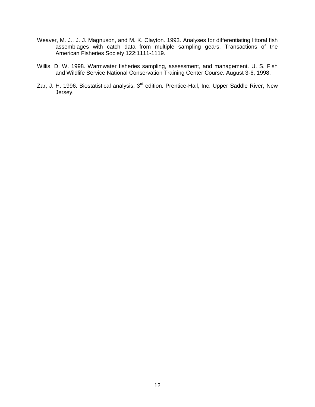- Weaver, M. J., J. J. Magnuson, and M. K. Clayton. 1993. Analyses [for differentiating littoral fish](http://afsjournals.org/doi/abs/10.1577/1548-8659%281993%29122%3C1111%3AAFDLFA%3E2.3.CO%3B2)  [assemblages with catch data from multiple sampling gears.](http://afsjournals.org/doi/abs/10.1577/1548-8659%281993%29122%3C1111%3AAFDLFA%3E2.3.CO%3B2) Transactions of the American Fisheries Society 122:1111-1119.
- Willis, D. W. 1998. Warmwater fisheries sampling, assessment, and management. U. S. Fish and Wildlife Service National Conservation Training Center Course. August 3-6, 1998.
- Zar, J. H. 1996. Biostatistical analysis, 3<sup>rd</sup> edition. Prentice-Hall, Inc. Upper Saddle River, New Jersey.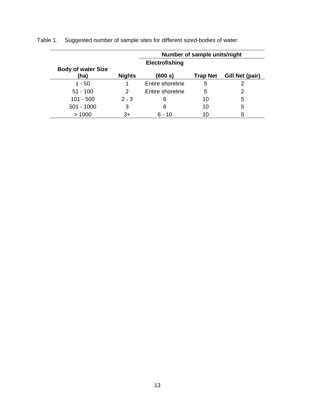|                                   |               |                       | Number of sample units/night |                 |
|-----------------------------------|---------------|-----------------------|------------------------------|-----------------|
|                                   |               | <b>Electrofishing</b> |                              |                 |
| <b>Body of water Size</b><br>(ha) | <b>Nights</b> | (600 s)               | <b>Trap Net</b>              | Gill Net (pair) |
| $1 - 50$                          |               | Entire shoreline      | 5                            | 2               |
| $51 - 100$                        | 2             | Entire shoreline      | 5                            | 2               |
| $101 - 500$                       | $2 - 3$       | 6                     | 10                           | 5               |
| $501 - 1000$                      | 3             | 6                     | 10                           | 5               |
| >1000                             | 3+            | 6 - 10                | 10                           | 5               |

Table 1. Suggested number of sample sites for different sized-bodies of water.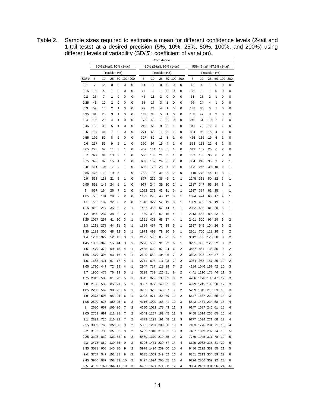|                    |                         |                            |               |    |                |     |      |                            | Confidence    |    |     |                |      |                              |               |                |     |                |
|--------------------|-------------------------|----------------------------|---------------|----|----------------|-----|------|----------------------------|---------------|----|-----|----------------|------|------------------------------|---------------|----------------|-----|----------------|
|                    |                         | 80% (2-tail); 90% (1-tail) |               |    |                |     |      | 90% (2-tail); 95% (1-tail) |               |    |     |                |      | 95% (2-tail); 97.5% (1-tail) |               |                |     |                |
|                    |                         |                            | Precision (%) |    |                |     |      |                            | Precision (%) |    |     |                |      |                              | Precision (%) |                |     |                |
| SD/ $\overline{x}$ | 5                       | 10                         | 25            | 50 | 100            | 200 | 5    | 10                         | 25            | 50 | 100 | 200            | 5    | 10                           | 25            | 50             | 100 | 200            |
| 0.1                | 7                       | $\overline{2}$             | 0             | 0  | 0              | 0   | 11   | 3                          | 0             | 0  | 0   | 0              | 15   | 4                            | 1             | 0              | 0   | 0              |
| 0.15               | 15                      | 4                          | 1             | 0  | 0              | 0   | 24   | 6                          | 1             | 0  | 0   | 0              | 35   | 9                            | 1             | 0              | 0   | 0              |
| 0.2                | 26                      | 7                          | 1             | 0  | 0              | 0   | 43   | 11                         | 2             | 0  | 0   | 0              | 61   | 15                           | 2             | 1              | 0   | 0              |
| 0.25               | 41                      | 10                         | 2             | 0  | 0              | 0   | 68   | 17                         | 3             | 1  | 0   | 0              | 96   | 24                           | 4             | 1              | 0   | 0              |
| 0.3                | 59                      | 15                         | 2             | 1  | 0              | 0   | 97   | 24                         | 4             | 1  | 0   | 0              | 138  | 35                           | 6             | 1              | 0   | 0              |
| 0.35               | 81                      | 20                         | 3             | 1  | 0              | 0   | 133  | 33                         | 5             | 1  | 0   | 0              | 188  | 47                           | 8             | $\overline{c}$ | 0   | 0              |
| 0.4                | 105                     | 26                         | 4             | 1  | 0              | 0   | 173  | 43                         | 7             | 2  | 0   | 0              | 246  | 61                           | 10            | 2              | 1   | 0              |
| 0.45               | 133                     | 33                         | 5             | 1  | 0              | 0   | 219  | 55                         | 9             | 2  | 1   | 0              | 311  | 78                           | 12            | 3              | 1   | 0              |
| 0.5                | 164                     | 41                         | 7             | 2  | 0              | 0   | 271  | 68                         | 11            | 3  | 1   | 0              | 384  | 96                           | 15            | 4              | 1   | 0              |
| 0.55               | 199                     | 50                         | 8             | 2  | 0              | 0   | 327  | 82                         | 13            | 3  | 1   | 0              | 465  | 116                          | 19            | 5              | 1   | 0              |
| 0.6                | 237                     | 59                         | 9             | 2  | 1              | 0   | 390  | 97                         | 16            | 4  | 1   | 0              | 553  | 138                          | 22            | 6              | 1   | 0              |
| 0.65               | 278                     | 69                         | 11            | 3  | 1              | 0   | 457  | 114                        | 18            | 5  | 1   | 0              | 649  | 162                          | 26            | 6              | 2   | 0              |
| 0.7                | 322                     | 81                         | 13            | 3  | 1              | 0   | 530  | 133                        | 21            | 5  | 1   | 0              | 753  | 188                          | 30            | 8              | 2   | 0              |
| 0.75               | 370                     | 92                         | 15            | 4  | 1              | 0   | 609  | 152                        | 24            | 6  | 2   | 0              | 864  | 216                          | 35            | 9              | 2   | 1              |
| 0.8                | 421                     | 105                        | 17            | 4  | 1              | 0   | 693  | 173                        | 28            | 7  | 2   | 0              | 983  | 246                          | 39            | 10             | 2   | 1              |
| 0.85               | 475                     | 119                        | 19            | 5  | 1              | 0   | 782  | 196                        | 31            | 8  | 2   | 0              | 1110 | 278                          | 44            | 11             | 3   | 1              |
| 0.9                | 533                     | 133                        | 21            | 5  | 1              | 0   | 877  | 219                        | 35            | 9  | 2   | 1              | 1245 | 311                          | 50            | 12             | 3   | 1              |
| 0.95               | 593                     | 148                        | 24            | 6  | 1              | 0   | 977  | 244                        | 39            | 10 | 2   | 1              | 1387 | 347                          | 55            | 14             | 3   | 1              |
| 1                  | 657                     | 164                        | 26            | 7  | 2              | 0   | 1082 | 271                        | 43            | 11 | 3   | 1              | 1537 | 384                          | 61            | 15             | 4   | 1              |
| 1.05               | 725                     | 181                        | 29            | 7  | 2              | 0   | 1193 | 298                        | 48            | 12 | 3   | 1              | 1694 | 424                          | 68            | 17             | 4   | 1              |
| 1.1                | 795                     | 199                        | 32            | 8  | $\overline{2}$ | 0   | 1310 | 327                        | 52            | 13 | 3   | 1              | 1859 | 465                          | 74            | 19             | 5   | 1              |
| 1.15               | 869                     | 217                        | 35            | 9  | 2              | 1   | 1431 | 358                        | 57            | 14 | 4   | 1              | 2032 | 508                          | 81            | 20             | 5   | 1              |
| 1.2                | 947                     | 237                        | 38            | 9  | 2              | 1   | 1559 | 390                        | 62            | 16 | 4   | 1              | 2213 | 553                          | 89            | 22             | 6   | 1              |
| 1.25               | 1027                    | 257                        | 41            | 10 | 3              | 1   | 1691 | 423                        | 68            | 17 | 4   | 1              | 2401 | 600                          | 96            | 24             | 6   | 2              |
| 1.3                | 1111                    | 278                        | 44            | 11 | 3              | 1   | 1829 | 457                        | 73            | 18 | 5   | 1              | 2597 | 649                          | 104           | 26             | 6   | 2              |
| 1.35               | 1198                    | 300                        | 48            | 12 | 3              | 1   | 1973 | 493                        | 79            | 20 | 5   | 1              | 2801 | 700                          | 112           | 28             | 7   | 2              |
| 1.4                | 1289                    | 322                        | 52            | 13 | 3              | 1   | 2122 | 530                        | 85            | 21 | 5   | 1              | 3012 | 753                          | 120           | 30             | 8   | 2              |
| 1.45               | 1382                    | 346                        | 55            | 14 | 3              | 1   | 2276 | 569                        | 91            | 23 | 6   | 1              | 3231 | 808                          | 129           | 32             | 8   | 2              |
| 1.5                | 1479                    | 370                        | 59            | 15 | 4              | 1   | 2435 | 609                        | 97            | 24 | 6   | 2              | 3457 | 864                          | 138           | 35             | 9   | 2              |
| 1.55               | 1579                    | 395                        | 63            | 16 | 4              | 1   | 2600 | 650                        | 104           | 26 | 7   | 2              | 3692 | 923                          | 148           | 37             | 9   | 2              |
| 1.6                | 1683                    | 421                        | 67            | 17 | 4              | 1   | 2771 | 693                        | 111           | 28 | 7   | 2              | 3934 | 983                          | 157           | 39             | 10  | 2              |
| 1.65               | 1790                    | 447                        | 72            | 18 | 4              | 1   | 2947 | 737                        | 118           | 29 | 7   | 2              | 4184 | 1046                         | 167           | 42             | 10  | 3              |
| 1.7                | 1900                    | 475                        | 76            | 19 | 5              | 1   | 3128 | 782                        | 125           | 31 | 8   | 2              | 4441 | 1110                         | 178           | 44             | 11  | 3              |
| 1.75               | 2013                    | 503                        | 81            | 20 | 5              | 1   | 3315 | 829                        | 133           | 33 | 8   | 2              | 4706 | 1176                         | 188           | 47             | 12  | 3              |
| 1.8                | 2130                    | 533                        | 85            | 21 | 5              | 1   | 3507 | 877                        | 140 35        |    | 9   | 2              | 4979 | 1245 199                     |               | -50            | 12  | 3              |
|                    | 1.85 2250               | 562                        | 90 22         |    | 6              | 1   |      | 3705 926 148 37            |               |    | 9   | 2              |      | 5259 1315 210 53             |               |                | 13  | 3              |
| 1.9                | 2373                    | 593                        | 95 24         |    | 6              | 1   |      | 3908 977 156 39            |               |    | 10  | 2              |      | 5547 1387 222 55             |               |                | 14  | 3              |
|                    | 1.95 2500               | 625                        | 100 25        |    | 6              | 2   |      | 4116 1029 165 41           |               |    | 10  | 3              |      | 5843 1461 234 58             |               |                | 15  | $\overline{4}$ |
| 2                  | 2630 657                |                            | 105 26        |    | $\overline{7}$ | 2   |      | 4330 1082 173 43           |               |    | 11  | 3              |      | 6147 1537 246 61             |               |                | 15  | $\overline{4}$ |
|                    | 2.05 2763 691           |                            | 111 28        |    | $\overline{7}$ | 2   |      | 4549 1137 182 45           |               |    | 11  | 3              |      | 6458 1614 258 65             |               |                | 16  | 4              |
| 2.1                | 2899 725                |                            | 116 29        |    | $\overline{7}$ | 2   |      | 4773 1193 191 48           |               |    | 12  | 3              |      | 6777 1694 271 68             |               |                | 17  | 4              |
|                    | 2.15 3039 760           |                            | 122 30        |    | - 8            | 2   |      | 5003 1251 200 50           |               |    | 13  | 3              |      | 7103 1776 284 71             |               |                | 18  | 4              |
| 2.2                | 3182 795                |                            | 127 32        |    | 8              | 2   |      | 5239 1310 210 52           |               |    | 13  | 3              |      | 7437 1859 297 74             |               |                | 19  | 5              |
|                    | 2.25 3328 832           |                            | 133 33        |    | 8              | 2   |      | 5480 1370 219 55           |               |    | 14  | 3              |      | 7779 1945 311 78             |               |                | 19  | 5              |
| 2.3                | 3478 869                |                            | 139 35        |    | 9              | 2   |      | 5726 1431 229 57           |               |    | 14  | 4              |      | 8129 2032 325 81             |               |                | 20  | 5              |
|                    | 2.35 3631               | 908                        | 145 36        |    | 9              | 2   |      | 5978 1494 239 60           |               |    | 15  | $\overline{4}$ |      | 8486 2122 339 85             |               |                | 21  | 5              |
| 2.4                | 3787 947                |                            | 151 38        |    | 9              | 2   |      | 6235 1559 249 62           |               |    | 16  | 4              |      | 8851 2213 354 89             |               |                | 22  | 6              |
|                    | 2.45 3946               | 987                        | 158 39        |    | 10             | 2   |      | 6497 1624 260 65           |               |    | 16  | 4              |      | 9224 2306 369 92             |               |                | 23  | 6              |
|                    | 2.5 4109 1027 164 41 10 |                            |               |    |                | 3   |      | 6765 1691 271 68 17        |               |    |     | $\overline{4}$ |      | 9604 2401 384 96 24          |               |                |     | 6              |

Table 2. Sample sizes required to estimate a mean for different confidence levels (2-tail and 1-tail tests) at a desired precision (5%, 10%, 25%, 50%, 100%, and 200%) using different levels of variability (SD/ $\bar{x}$ ; coefficient of variation).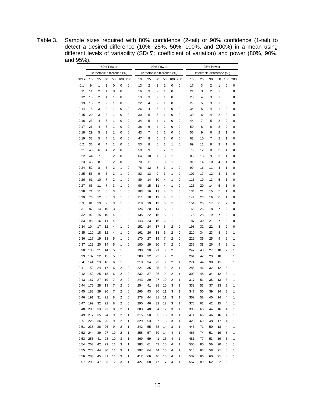Table 3. Sample sizes required with 80% confidence (2-tail) or 90% confidence (1-tail) to detect a desired difference (10%, 25%, 50%, 100%, and 200%) in a mean using different levels of variability  $(SD/\bar{x}$ ; coefficient of variation) and power (80%, 90%, and 9<u>5%).</u><br>and 95%). and 95%).

|                    |     |                           | 80% Pow er |    |                |         | 90% Pow er |                           |    |                |     |     | 95% Pow er |                           |    |                |     |     |  |
|--------------------|-----|---------------------------|------------|----|----------------|---------|------------|---------------------------|----|----------------|-----|-----|------------|---------------------------|----|----------------|-----|-----|--|
|                    |     | Detectable difference (%) |            |    |                |         |            | Detectable difference (%) |    |                |     |     |            | Detectable difference (%) |    |                |     |     |  |
| SD/ $\overline{x}$ | 10  | 25                        | 30         | 50 |                | 100 200 | 10         | 25                        | 30 | 50             | 100 | 200 | 10         | 25                        | 30 | 50             | 100 | 200 |  |
| 0.1                | 9   | 1                         | 1          | 0  | 0              | 0       | 13         | 2                         | 1  | 1              | 0   | 0   | 17         | 3                         | 2  | 1              | 0   | 0   |  |
| 0.11               | 11  | 2                         | 1          | 0  | 0              | 0       | 16         | 3                         | 2  | 1              | 0   | 0   | 21         | 3                         | 2  | 1              | 0   | 0   |  |
| 0.12               | 13  | 2                         | 1          | 1  | 0              | 0       | 19         | 3                         | 2  | 1              | 0   | 0   | 25         | 4                         | 3  | 1              | 0   | 0   |  |
| 0.13               | 15  | 2                         | 2          | 1  | 0              | 0       | 22         | 4                         | 2  | 1              | 0   | 0   | 29         | 5                         | 3  | 1              | 0   | 0   |  |
| 0.14               | 18  | 3                         | 2          | 1  | 0              | 0       | 26         | 4                         | 3  | 1              | 0   | 0   | 34         | 5                         | 4  | 1              | 0   | 0   |  |
| 0.15               | 20  | 3                         | 2          | 1  | 0              | 0       | 30         | 5                         | 3  | 1              | 0   | 0   | 39         | 6                         | 4  | $\overline{2}$ | 0   | 0   |  |
| 0.16               | 23  | 4                         | 3          | 1  | 0              | 0       | 34         | 5                         | 4  | 1              | 0   | 0   | 44         | 7                         | 5  | 2              | 0   | 0   |  |
| 0.17               | 26  | 4                         | 3          | 1  | 0              | 0       | 38         | 6                         | 4  | 2              | 0   | 0   | 50         | 8                         | 6  | 2              | 0   | 0   |  |
| 0.18               | 29  | 5                         | 3          | 1  | 0              | 0       | 43         | 7                         | 5  | 2              | 0   | 0   | 56         | 9                         | 6  | 2              | 1   | 0   |  |
| 0.19               | 33  | 5                         | 4          | 1  | 0              | 0       | 47         | 8                         | 5  | 2              | 0   | 0   | 62         | 10                        | 7  | 2              | 1   | 0   |  |
| 0.2                | 36  | 6                         | 4          | 1  | 0              | 0       | 53         | 8                         | 6  | 2              | 1   | 0   | 69         | 11                        | 8  | 3              | 1   | 0   |  |
| 0.21               | 40  | 6                         | 4          | 2  | 0              | 0       | 58         | 9                         | 6  | 2              | 1   | 0   | 76         | 12                        | 8  | 3              | 1   | 0   |  |
| 0.22               | 44  | 7                         | 5          | 2  | 0              | 0       | 64         | 10                        | 7  | 3              | 1   | 0   | 83         | 13                        | 9  | 3              | 1   | 0   |  |
| 0.23               | 48  | 8                         | 5          | 2  | 0              | 0       | 70         | 11                        | 8  | 3              | 1   | 0   | 91         | 14                        | 10 | 4              | 1   | 0   |  |
| 0.24               | 52  | 8                         | 6          | 2  | 1              | 0       | 76         | 12                        | 8  | 3              | 1   | 0   | 99         | 16                        | 11 | 4              | 1   | 0   |  |
| 0.25               | 56  | 9                         | 6          | 2  | 1              | 0       | 82         | 13                        | 9  | 3              | 1   | 0   | 107        | 17                        | 12 | 4              | 1   | 0   |  |
| 0.26               | 61  | 10                        | 7          | 2  | 1              | 0       | 89         | 14                        | 10 | 4              | 1   | 0   | 116        | 19                        | 13 | 5              | 1   | 0   |  |
| 0.27               | 66  | 11                        | 7          | 3  | 1              | 0       | 96         | 15                        | 11 | 4              | 1   | 0   | 125        | 20                        | 14 | 5              | 1   | 0   |  |
| 0.28               | 71  | 11                        | 8          | 3  | 1              | 0       | 103        | 16                        | 11 | 4              | 1   | 0   | 134        | 21                        | 15 | 5              | 1   | 0   |  |
| 0.29               | 76  | 12                        | 8          | 3  | 1              | 0       | 111        | 18                        | 12 | 4              | 1   | 0   | 144        | 23                        | 16 | 6              | 1   | 0   |  |
| 0.3                | 81  | 13                        | 9          | 3  | 1              | 0       | 118        | 19                        | 13 | 5              | 1   | 0   | 154        | 25                        | 17 | 6              | 2   | 0   |  |
| 0.31               | 87  | 14                        | 10         | 3  | 1              | 0       | 126        | 20                        | 14 | 5              | 1   | 0   | 165        | 26                        | 18 | 7              | 2   | 0   |  |
| 0.32               | 92  | 15                        | 10         | 4  | 1              | 0       | 135        | 22                        | 15 | 5              | 1   | 0   | 175        | 28                        | 19 | 7              | 2   | 0   |  |
| 0.33               | 98  | 16                        | 11         | 4  | 1              | 0       | 143        | 23                        | 16 | 6              | 1   | 0   | 187        | 30                        | 21 | 7              | 2   | 0   |  |
| 0.34               | 104 | 17                        | 12         | 4  | 1              | 0       | 152        | 24                        | 17 | 6              | 2   | 0   | 198        | 32                        | 22 | 8              | 2   | 0   |  |
| 0.35               | 110 | 18                        | 12         | 4  | 1              | 0       | 161        | 26                        | 18 | 6              | 2   | 0   | 210        | 34                        | 23 | 8              | 2   | 1   |  |
| 0.36               | 117 | 19                        | 13         | 5  | 1              | 0       | 170        | 27                        | 19 | $\overline{7}$ | 2   | 0   | 222        | 36                        | 25 | 9              | 2   | 1   |  |
| 0.37               | 123 | 20                        | 14         | 5  | 1              | 0       | 180        | 29                        | 20 | 7              | 2   | 0   | 235        | 38                        | 26 | 9              | 2   | 1   |  |
| 0.38               | 130 | 21                        | 14         | 5  | 1              | 0       | 190        | 30                        | 21 | 8              | 2   | 0   | 247        | 40                        | 27 | 10             | 2   | 1   |  |
| 0.39               | 137 | 22                        | 15         | 5  | 1              | 0       | 200        | 32                        | 22 | 8              | 2   | 0   | 261        | 42                        | 29 | 10             | 3   | 1   |  |
| 0.4                | 144 | 23                        | 16         | 6  | 1              | 0       | 210        | 34                        | 23 | 8              | 2   | 1   | 274        | 44                        | 30 | 11             | 3   | 1   |  |
| 0.41               | 152 | 24                        | 17         | 6  | 2              | 0       | 221        | 35                        | 25 | 9              | 2   | 1   | 288        | 46                        | 32 | 12             | 3   | 1   |  |
| 0.42               | 159 | 25                        | 18         | 6  | 2              | 0       | 232        | 37                        | 26 | 9              | 2   | 1   | 302        | 48                        | 34 | 12             | 3   | 1   |  |
| 0.43               | 167 | 27                        | 19         | 7  | 2              | 0       | 243        | 39                        | 27 | 10             | 2   | 1   | 317        | 51                        | 35 | 13             | 3   | 1   |  |
| 0.44               | 175 | 28                        | 19         | 7  | $\overline{2}$ | 0       | 254        | 41                        | 28 | 10             | 3   | 1   | 332        | 53                        | 37 | 13             | 3   | 1   |  |
| 0.45               | 183 | 29                        | 20         | 7  | $\overline{2}$ | 0       | 266        | 43                        | 30 | 11             | 3   | 1   | 347        | 56                        | 39 | 14             | 3   | 1   |  |
| 0.46               | 191 | 31                        | 21         | 8  | 2              | 0       | 278        | 44                        | 31 | 11             | 3   | 1   | 362        | 58                        | 40 | 14             | 4   | 1   |  |
| 0.47               | 199 | 32                        | 22         | 8  | 2              | 0       | 290        | 46                        | 32 | 12             | 3   | 1   | 378        | 61                        | 42 | 15             | 4   | 1   |  |
| 0.48               | 208 | 33                        | 23         | 8  | 2              | 1       | 303        | 48                        | 34 | 12             | 3   | 1   | 395        | 63                        | 44 | 16             | 4   | 1   |  |
| 0.49               | 217 | 35                        | 24         | 9  | 2              | 1       | 315        | 50                        | 35 | 13             | 3   | 1   | 411        | 66                        | 46 | 16             | 4   | 1   |  |
| 0.5                | 226 | 36                        | 25         | 9  | 2              | 1       | 329        | 53                        | 37 | 13             | 3   | 1   | 428        | 69                        | 48 | 17             | 4   | 1   |  |
| 0.51               | 235 | 38                        | 26         | 9  | 2              | 1       | 342        | 55                        | 38 | 14             | 3   | 1   | 446        | 71                        | 50 | 18             | 4   | 1   |  |
| 0.52               | 244 | 39                        | 27         | 10 | 2              | 1       | 355        | 57                        | 39 | 14             | 4   | 1   | 463        | 74                        | 51 | 19             | 5   | 1   |  |
| 0.53               | 253 | 41                        | 28         | 10 | 3              | 1       | 369        | 59                        | 41 | 15             | 4   | 1   | 481        | 77                        | 53 | 19             | 5   | 1   |  |
| 0.54               | 263 | 42                        | 29         | 11 | 3              | 1       | 383        | 61                        | 43 | 15             | 4   | 1   | 500        | 80                        | 56 | 20             | 5   | 1   |  |
| 0.55               | 273 | 44                        | 30         | 11 | 3              | 1       | 397        | 64                        | 44 | 16             | 4   | 1   | 518        | 83                        | 58 | 21             | 5   | 1   |  |
| 0.56               | 283 | 45                        | 31         | 11 | 3              | 1       | 412        | 66                        | 46 | 16             | 4   | 1   | 537        | 86                        | 60 | 21             | 5   | 1   |  |
| 0.57               | 293 | 47                        | 33         | 12 | 3              | 1       | 427        | 68                        | 47 | 17             | 4   | 1   | 557        | 89                        | 62 | 22             | 6   | 1   |  |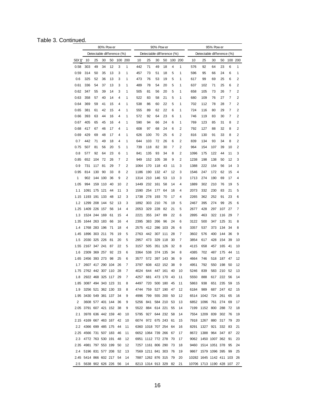#### Table 3. Continued.

| 80% Pow er<br>90% Pow er<br>95% Pow er<br>Detectable difference (%)<br>Detectable difference (%)<br>Detectable difference (%)<br>200<br>10<br>25<br>200<br>10<br>200<br>SD/ $\overline{x}$<br>10<br>25<br>30<br>50<br>100<br>30<br>50<br>100<br>25<br>30<br>50<br>100<br>1<br>303<br>49<br>34<br>12<br>3<br>1<br>442<br>71<br>49<br>18<br>4<br>92<br>64<br>23<br>6<br>1<br>0.58<br>576<br>314<br>50<br>35<br>3<br>1<br>457<br>5<br>1<br>1<br>0.59<br>13<br>73<br>51<br>18<br>596<br>95<br>66<br>24<br>6<br>325<br>36<br>13<br>3<br>1<br>5<br>1<br>99<br>69<br>2<br>0.6<br>52<br>473<br>76<br>53<br>19<br>617<br>25<br>6<br>336<br>54<br>37<br>3<br>1<br>489<br>78<br>54<br>1<br>71<br>25<br>6<br>2<br>0.61<br>13<br>20<br>5<br>637<br>102<br>347<br>39<br>3<br>1<br>1<br>73<br>7<br>2<br>0.62<br>55<br>14<br>505<br>81<br>56<br>20<br>5<br>658<br>105<br>26<br>358<br>40<br>1<br>83<br>21<br>1<br>76<br>7<br>2<br>0.63<br>57<br>14<br>4<br>522<br>58<br>5<br>680<br>109<br>27<br>369<br>41<br>1<br>22<br>5<br>1<br>78<br>7<br>2<br>0.64<br>59<br>15<br>4<br>538<br>86<br>60<br>702<br>112<br>28<br>381<br>42<br>1<br>89<br>22<br>1<br>29<br>7<br>2<br>0.65<br>61<br>15<br>4<br>555<br>62<br>6<br>724<br>116<br>80<br>393<br>44<br>1<br>64<br>23<br>7<br>2<br>0.66<br>63<br>16<br>4<br>572<br>92<br>6<br>1<br>746<br>119<br>83<br>30<br>405<br>45<br>4<br>1<br>590<br>94<br>24<br>1<br>123<br>31<br>8<br>2<br>0.67<br>65<br>16<br>66<br>6<br>769<br>85<br>417<br>46<br>4<br>1<br>97<br>68<br>24<br>2<br>792<br>127<br>88<br>32<br>8<br>2<br>0.68<br>67<br>17<br>608<br>6<br>429<br>48<br>4<br>1<br>626<br>100<br>25<br>2<br>130<br>91<br>33<br>8<br>2<br>0.69<br>69<br>17<br>70<br>6<br>816<br>0.7<br>442<br>71<br>49<br>4<br>1<br>644<br>26<br>2<br>839<br>93<br>34<br>8<br>2<br>18<br>103<br>72<br>6<br>134<br>507<br>81<br>20<br>5<br>1<br>739<br>82<br>30<br>7<br>2<br>964<br>107<br>39<br>2<br>0.75<br>56<br>118<br>154<br>10<br>0.8<br>577<br>92<br>64<br>23<br>6<br>1<br>841<br>135<br>93<br>34<br>2<br>122<br>44<br>11<br>3<br>8<br>1096<br>175<br>104<br>72<br>26<br>7<br>2<br>949<br>152<br>105<br>38<br>2<br>198<br>138<br>3<br>0.85<br>652<br>9<br>1238<br>50<br>12<br>0.9<br>731<br>117<br>81<br>29<br>7<br>2<br>170<br>118<br>43<br>3<br>222<br>154<br>3<br>1064<br>11<br>1388<br>56<br>14<br>0.95<br>130<br>90<br>33<br>8<br>2<br>190<br>132<br>47<br>12<br>3<br>247<br>172<br>62<br>15<br>4<br>814<br>1186<br>1546<br>$\overline{2}$<br>1<br>902<br>100<br>9<br>210<br>53<br>3<br>274<br>190<br>69<br>144<br>36<br>1314<br>146<br>13<br>1713<br>17<br>4<br>$\overline{2}$<br>994<br>159<br>110<br>1449<br>232<br>58<br>4<br>302<br>210<br>1.05<br>40<br>10<br>161<br>14<br>1889<br>76<br>19<br>5<br>1091<br>175<br>121<br>3<br>254<br>64<br>4<br>332<br>230<br>5<br>1.1<br>44<br>11<br>1590<br>177<br>16<br>2073<br>83<br>21<br>1193 191<br>3<br>278<br>193<br>4<br>362<br>252<br>1.15<br>133<br>48<br>12<br>1738<br>70<br>17<br>2265<br>91<br>23<br>6<br>1.2<br>1299 208<br>3<br>303<br>210<br>5<br>395<br>99<br>144<br>52<br>13<br>1892<br>76<br>19<br>2467<br>274<br>25<br>6<br>1409 226<br>329<br>228<br>5<br>428<br>297<br>107<br>7<br>1.25<br>157<br>56<br>14<br>4<br>2053<br>82<br>21<br>2677<br>27<br>1524 244<br>169<br>2221<br>355<br>247<br>89<br>463<br>322<br>7<br>1.3<br>61<br>15<br>4<br>22<br>6<br>2895<br>116<br>29<br>1644 263<br>383<br>266<br>96<br>347<br>1.35<br>183<br>66<br>16<br>4<br>2395<br>24<br>6<br>3122<br>500<br>125<br>31<br>8<br>1768 283<br>196<br>412<br>286<br>1.4<br>71<br>18<br>4<br>2575<br>103<br>26<br>6<br>3357<br>537<br>373<br>134<br>34<br>8<br>1896 303 211<br>442<br>307<br>7<br>1.45<br>76<br>19<br>5<br>2763<br>111<br>28<br>3602<br>576<br>400<br>144<br>36<br>9<br>2030 325 226<br>5<br>329<br>7<br>428<br>1.5<br>81<br>20<br>2957<br>473<br>118<br>30<br>3854<br>617<br>154<br>39<br>10<br>2167 347 241<br>5<br>1.55<br>87<br>22<br>3157<br>505<br>351<br>126<br>32<br>8<br>4115<br>658<br>457<br>165<br>41<br>10<br>369 257<br>6<br>2309<br>92<br>23<br>3364<br>538<br>374<br>135<br>34<br>8<br>4385<br>702<br>487<br>175<br>44<br>11<br>1.6<br>1.65 2456 393 273<br>6<br>98<br>25<br>3577<br>572<br>397 143<br>36<br>9<br>4664<br>746<br>518<br>187<br>47<br>12<br>1.7<br>2607 417 290 104<br>26<br>7<br>3797<br>608<br>422<br>152<br>38<br>9<br>4951<br>792<br>550<br>198<br>50<br>12<br>1.75 2762 442 307 110<br>-28<br>7<br>4024<br>644 447 161<br>40<br>10<br>5246<br>839<br>583<br>210<br>52<br>13<br>1.8<br>2922 468 325 117<br>-29<br>7<br>4257<br>681<br>473 170<br>43<br>11<br>5550<br>888<br>617<br>222<br>56<br>14<br>1.85 3087 494 343 123<br>31<br>8<br>4497<br>720<br>500 180<br>45<br>11<br>5863<br>938<br>651<br>235<br>59<br>15<br>3256 521 362 130<br>759<br>527 190<br>687<br>247<br>1.9<br>33<br>8<br>4744<br>47<br>12<br>6184<br>989<br>62<br>15<br>1.95 3430 549 381 137<br>799<br>555 200<br>1042<br>724<br>34<br>9<br>4996<br>50<br>12<br>6514<br>261<br>65<br>16<br>3608 577 401 144<br>841<br>584 210<br>1096<br>761<br>17<br>2<br>36<br>9<br>5256<br>53<br>13<br>6852<br>274<br>69<br>2.05 3791 607 421 152<br>5522 884<br>614 221<br>1152<br>800<br>38<br>9<br>55<br>14<br>7199<br>288<br>72<br>18<br>3978 636 442 159<br>5795 927<br>644 232<br>839<br>302<br>76<br>2.1<br>40<br>10<br>58<br>14<br>7554<br>1209<br>19<br>2.15 4169 667 463 167<br>6074 972 675 243<br>880<br>42<br>10<br>61<br>15<br>7918<br>1267<br>317<br>79<br>20<br>4366 699 485 175<br>6360 1018 707 254<br>1327 921<br>2.2<br>-44<br>11<br>64<br>16<br>8291<br>332<br>83<br>21<br>2.25 4566 731 507 183<br>1388 964<br>46<br>11<br>6652 1064 739 266<br>67<br>17<br>8672<br>347<br>87<br>22<br>1450 1007 362<br>2.3<br>4772 763 530 191<br>48<br>12<br>6951 1112 772 278<br>70<br>17<br>9062<br>91<br>23<br>2.35 4981 797 553 199<br>12<br>7257 1161 806 290<br>1514 1051 378<br>24<br>50<br>-73<br>18<br>9460<br>95<br>5196 831 577 208<br>-52<br>13<br>7569 1211 841 303<br>76<br>19<br>9867<br>1579 1096 395<br>99<br>25<br>2.4<br>2.45 5414 866 602 217 54<br>10282 1645 1142 411 103<br>14<br>7887 1262 876 315<br>-79<br>20<br>26<br>2.5<br>5638 902 626 226 56<br>14<br>8213 1314 913 329<br>82<br>21<br>10706 1713 1190 428 107<br>27 | nued. |  |  |  |  |  |  |  |  |  |
|------------------------------------------------------------------------------------------------------------------------------------------------------------------------------------------------------------------------------------------------------------------------------------------------------------------------------------------------------------------------------------------------------------------------------------------------------------------------------------------------------------------------------------------------------------------------------------------------------------------------------------------------------------------------------------------------------------------------------------------------------------------------------------------------------------------------------------------------------------------------------------------------------------------------------------------------------------------------------------------------------------------------------------------------------------------------------------------------------------------------------------------------------------------------------------------------------------------------------------------------------------------------------------------------------------------------------------------------------------------------------------------------------------------------------------------------------------------------------------------------------------------------------------------------------------------------------------------------------------------------------------------------------------------------------------------------------------------------------------------------------------------------------------------------------------------------------------------------------------------------------------------------------------------------------------------------------------------------------------------------------------------------------------------------------------------------------------------------------------------------------------------------------------------------------------------------------------------------------------------------------------------------------------------------------------------------------------------------------------------------------------------------------------------------------------------------------------------------------------------------------------------------------------------------------------------------------------------------------------------------------------------------------------------------------------------------------------------------------------------------------------------------------------------------------------------------------------------------------------------------------------------------------------------------------------------------------------------------------------------------------------------------------------------------------------------------------------------------------------------------------------------------------------------------------------------------------------------------------------------------------------------------------------------------------------------------------------------------------------------------------------------------------------------------------------------------------------------------------------------------------------------------------------------------------------------------------------------------------------------------------------------------------------------------------------------------------------------------------------------------------------------------------------------------------------------------------------------------------------------------------------------------------------------------------------------------------------------------------------------------------------------------------------------------------------------------------------------------------------------------------------------------------------------------------------------------------------------------------------------------------------------------------------------------------------------------------------------------------------------------------------------------------------------------------------------------------------------------------------------------------------------------------------------------------------------------------------------------------------------------------------------------------------------------------------------------------------------------------------------------------------------------------------------------------------------------------------------------------------------------------------------------------------------------------------------------------------------------------------------------------------------------------------------------------------------------------------------------------------------------------------------------------------------------------------------------------------------------------------------------------------------------------------------------------------------------------------------------------------------------------------------------------------------------------------------------------------------------------------------------------------------------------------------------------------------------------------------------------------------------------------------------------------------------------------------------------------------------------------------------------------------------------------------------------------------------------------------------------------------------------------------------------------------------------------------------------------------------------------------------------------------------------------------------------------------------------------------------------------------------------------------------------------------------------------------------------------------------|-------|--|--|--|--|--|--|--|--|--|
|                                                                                                                                                                                                                                                                                                                                                                                                                                                                                                                                                                                                                                                                                                                                                                                                                                                                                                                                                                                                                                                                                                                                                                                                                                                                                                                                                                                                                                                                                                                                                                                                                                                                                                                                                                                                                                                                                                                                                                                                                                                                                                                                                                                                                                                                                                                                                                                                                                                                                                                                                                                                                                                                                                                                                                                                                                                                                                                                                                                                                                                                                                                                                                                                                                                                                                                                                                                                                                                                                                                                                                                                                                                                                                                                                                                                                                                                                                                                                                                                                                                                                                                                                                                                                                                                                                                                                                                                                                                                                                                                                                                                                                                                                                                                                                                                                                                                                                                                                                                                                                                                                                                                                                                                                                                                                                                                                                                                                                                                                                                                                                                                                                                                                                                                                                                                                                                                                                                                                                                                                                                                                                                                                                                                                        |       |  |  |  |  |  |  |  |  |  |
|                                                                                                                                                                                                                                                                                                                                                                                                                                                                                                                                                                                                                                                                                                                                                                                                                                                                                                                                                                                                                                                                                                                                                                                                                                                                                                                                                                                                                                                                                                                                                                                                                                                                                                                                                                                                                                                                                                                                                                                                                                                                                                                                                                                                                                                                                                                                                                                                                                                                                                                                                                                                                                                                                                                                                                                                                                                                                                                                                                                                                                                                                                                                                                                                                                                                                                                                                                                                                                                                                                                                                                                                                                                                                                                                                                                                                                                                                                                                                                                                                                                                                                                                                                                                                                                                                                                                                                                                                                                                                                                                                                                                                                                                                                                                                                                                                                                                                                                                                                                                                                                                                                                                                                                                                                                                                                                                                                                                                                                                                                                                                                                                                                                                                                                                                                                                                                                                                                                                                                                                                                                                                                                                                                                                                        |       |  |  |  |  |  |  |  |  |  |
|                                                                                                                                                                                                                                                                                                                                                                                                                                                                                                                                                                                                                                                                                                                                                                                                                                                                                                                                                                                                                                                                                                                                                                                                                                                                                                                                                                                                                                                                                                                                                                                                                                                                                                                                                                                                                                                                                                                                                                                                                                                                                                                                                                                                                                                                                                                                                                                                                                                                                                                                                                                                                                                                                                                                                                                                                                                                                                                                                                                                                                                                                                                                                                                                                                                                                                                                                                                                                                                                                                                                                                                                                                                                                                                                                                                                                                                                                                                                                                                                                                                                                                                                                                                                                                                                                                                                                                                                                                                                                                                                                                                                                                                                                                                                                                                                                                                                                                                                                                                                                                                                                                                                                                                                                                                                                                                                                                                                                                                                                                                                                                                                                                                                                                                                                                                                                                                                                                                                                                                                                                                                                                                                                                                                                        |       |  |  |  |  |  |  |  |  |  |
|                                                                                                                                                                                                                                                                                                                                                                                                                                                                                                                                                                                                                                                                                                                                                                                                                                                                                                                                                                                                                                                                                                                                                                                                                                                                                                                                                                                                                                                                                                                                                                                                                                                                                                                                                                                                                                                                                                                                                                                                                                                                                                                                                                                                                                                                                                                                                                                                                                                                                                                                                                                                                                                                                                                                                                                                                                                                                                                                                                                                                                                                                                                                                                                                                                                                                                                                                                                                                                                                                                                                                                                                                                                                                                                                                                                                                                                                                                                                                                                                                                                                                                                                                                                                                                                                                                                                                                                                                                                                                                                                                                                                                                                                                                                                                                                                                                                                                                                                                                                                                                                                                                                                                                                                                                                                                                                                                                                                                                                                                                                                                                                                                                                                                                                                                                                                                                                                                                                                                                                                                                                                                                                                                                                                                        |       |  |  |  |  |  |  |  |  |  |
|                                                                                                                                                                                                                                                                                                                                                                                                                                                                                                                                                                                                                                                                                                                                                                                                                                                                                                                                                                                                                                                                                                                                                                                                                                                                                                                                                                                                                                                                                                                                                                                                                                                                                                                                                                                                                                                                                                                                                                                                                                                                                                                                                                                                                                                                                                                                                                                                                                                                                                                                                                                                                                                                                                                                                                                                                                                                                                                                                                                                                                                                                                                                                                                                                                                                                                                                                                                                                                                                                                                                                                                                                                                                                                                                                                                                                                                                                                                                                                                                                                                                                                                                                                                                                                                                                                                                                                                                                                                                                                                                                                                                                                                                                                                                                                                                                                                                                                                                                                                                                                                                                                                                                                                                                                                                                                                                                                                                                                                                                                                                                                                                                                                                                                                                                                                                                                                                                                                                                                                                                                                                                                                                                                                                                        |       |  |  |  |  |  |  |  |  |  |
|                                                                                                                                                                                                                                                                                                                                                                                                                                                                                                                                                                                                                                                                                                                                                                                                                                                                                                                                                                                                                                                                                                                                                                                                                                                                                                                                                                                                                                                                                                                                                                                                                                                                                                                                                                                                                                                                                                                                                                                                                                                                                                                                                                                                                                                                                                                                                                                                                                                                                                                                                                                                                                                                                                                                                                                                                                                                                                                                                                                                                                                                                                                                                                                                                                                                                                                                                                                                                                                                                                                                                                                                                                                                                                                                                                                                                                                                                                                                                                                                                                                                                                                                                                                                                                                                                                                                                                                                                                                                                                                                                                                                                                                                                                                                                                                                                                                                                                                                                                                                                                                                                                                                                                                                                                                                                                                                                                                                                                                                                                                                                                                                                                                                                                                                                                                                                                                                                                                                                                                                                                                                                                                                                                                                                        |       |  |  |  |  |  |  |  |  |  |
|                                                                                                                                                                                                                                                                                                                                                                                                                                                                                                                                                                                                                                                                                                                                                                                                                                                                                                                                                                                                                                                                                                                                                                                                                                                                                                                                                                                                                                                                                                                                                                                                                                                                                                                                                                                                                                                                                                                                                                                                                                                                                                                                                                                                                                                                                                                                                                                                                                                                                                                                                                                                                                                                                                                                                                                                                                                                                                                                                                                                                                                                                                                                                                                                                                                                                                                                                                                                                                                                                                                                                                                                                                                                                                                                                                                                                                                                                                                                                                                                                                                                                                                                                                                                                                                                                                                                                                                                                                                                                                                                                                                                                                                                                                                                                                                                                                                                                                                                                                                                                                                                                                                                                                                                                                                                                                                                                                                                                                                                                                                                                                                                                                                                                                                                                                                                                                                                                                                                                                                                                                                                                                                                                                                                                        |       |  |  |  |  |  |  |  |  |  |
|                                                                                                                                                                                                                                                                                                                                                                                                                                                                                                                                                                                                                                                                                                                                                                                                                                                                                                                                                                                                                                                                                                                                                                                                                                                                                                                                                                                                                                                                                                                                                                                                                                                                                                                                                                                                                                                                                                                                                                                                                                                                                                                                                                                                                                                                                                                                                                                                                                                                                                                                                                                                                                                                                                                                                                                                                                                                                                                                                                                                                                                                                                                                                                                                                                                                                                                                                                                                                                                                                                                                                                                                                                                                                                                                                                                                                                                                                                                                                                                                                                                                                                                                                                                                                                                                                                                                                                                                                                                                                                                                                                                                                                                                                                                                                                                                                                                                                                                                                                                                                                                                                                                                                                                                                                                                                                                                                                                                                                                                                                                                                                                                                                                                                                                                                                                                                                                                                                                                                                                                                                                                                                                                                                                                                        |       |  |  |  |  |  |  |  |  |  |
|                                                                                                                                                                                                                                                                                                                                                                                                                                                                                                                                                                                                                                                                                                                                                                                                                                                                                                                                                                                                                                                                                                                                                                                                                                                                                                                                                                                                                                                                                                                                                                                                                                                                                                                                                                                                                                                                                                                                                                                                                                                                                                                                                                                                                                                                                                                                                                                                                                                                                                                                                                                                                                                                                                                                                                                                                                                                                                                                                                                                                                                                                                                                                                                                                                                                                                                                                                                                                                                                                                                                                                                                                                                                                                                                                                                                                                                                                                                                                                                                                                                                                                                                                                                                                                                                                                                                                                                                                                                                                                                                                                                                                                                                                                                                                                                                                                                                                                                                                                                                                                                                                                                                                                                                                                                                                                                                                                                                                                                                                                                                                                                                                                                                                                                                                                                                                                                                                                                                                                                                                                                                                                                                                                                                                        |       |  |  |  |  |  |  |  |  |  |
|                                                                                                                                                                                                                                                                                                                                                                                                                                                                                                                                                                                                                                                                                                                                                                                                                                                                                                                                                                                                                                                                                                                                                                                                                                                                                                                                                                                                                                                                                                                                                                                                                                                                                                                                                                                                                                                                                                                                                                                                                                                                                                                                                                                                                                                                                                                                                                                                                                                                                                                                                                                                                                                                                                                                                                                                                                                                                                                                                                                                                                                                                                                                                                                                                                                                                                                                                                                                                                                                                                                                                                                                                                                                                                                                                                                                                                                                                                                                                                                                                                                                                                                                                                                                                                                                                                                                                                                                                                                                                                                                                                                                                                                                                                                                                                                                                                                                                                                                                                                                                                                                                                                                                                                                                                                                                                                                                                                                                                                                                                                                                                                                                                                                                                                                                                                                                                                                                                                                                                                                                                                                                                                                                                                                                        |       |  |  |  |  |  |  |  |  |  |
|                                                                                                                                                                                                                                                                                                                                                                                                                                                                                                                                                                                                                                                                                                                                                                                                                                                                                                                                                                                                                                                                                                                                                                                                                                                                                                                                                                                                                                                                                                                                                                                                                                                                                                                                                                                                                                                                                                                                                                                                                                                                                                                                                                                                                                                                                                                                                                                                                                                                                                                                                                                                                                                                                                                                                                                                                                                                                                                                                                                                                                                                                                                                                                                                                                                                                                                                                                                                                                                                                                                                                                                                                                                                                                                                                                                                                                                                                                                                                                                                                                                                                                                                                                                                                                                                                                                                                                                                                                                                                                                                                                                                                                                                                                                                                                                                                                                                                                                                                                                                                                                                                                                                                                                                                                                                                                                                                                                                                                                                                                                                                                                                                                                                                                                                                                                                                                                                                                                                                                                                                                                                                                                                                                                                                        |       |  |  |  |  |  |  |  |  |  |
|                                                                                                                                                                                                                                                                                                                                                                                                                                                                                                                                                                                                                                                                                                                                                                                                                                                                                                                                                                                                                                                                                                                                                                                                                                                                                                                                                                                                                                                                                                                                                                                                                                                                                                                                                                                                                                                                                                                                                                                                                                                                                                                                                                                                                                                                                                                                                                                                                                                                                                                                                                                                                                                                                                                                                                                                                                                                                                                                                                                                                                                                                                                                                                                                                                                                                                                                                                                                                                                                                                                                                                                                                                                                                                                                                                                                                                                                                                                                                                                                                                                                                                                                                                                                                                                                                                                                                                                                                                                                                                                                                                                                                                                                                                                                                                                                                                                                                                                                                                                                                                                                                                                                                                                                                                                                                                                                                                                                                                                                                                                                                                                                                                                                                                                                                                                                                                                                                                                                                                                                                                                                                                                                                                                                                        |       |  |  |  |  |  |  |  |  |  |
|                                                                                                                                                                                                                                                                                                                                                                                                                                                                                                                                                                                                                                                                                                                                                                                                                                                                                                                                                                                                                                                                                                                                                                                                                                                                                                                                                                                                                                                                                                                                                                                                                                                                                                                                                                                                                                                                                                                                                                                                                                                                                                                                                                                                                                                                                                                                                                                                                                                                                                                                                                                                                                                                                                                                                                                                                                                                                                                                                                                                                                                                                                                                                                                                                                                                                                                                                                                                                                                                                                                                                                                                                                                                                                                                                                                                                                                                                                                                                                                                                                                                                                                                                                                                                                                                                                                                                                                                                                                                                                                                                                                                                                                                                                                                                                                                                                                                                                                                                                                                                                                                                                                                                                                                                                                                                                                                                                                                                                                                                                                                                                                                                                                                                                                                                                                                                                                                                                                                                                                                                                                                                                                                                                                                                        |       |  |  |  |  |  |  |  |  |  |
|                                                                                                                                                                                                                                                                                                                                                                                                                                                                                                                                                                                                                                                                                                                                                                                                                                                                                                                                                                                                                                                                                                                                                                                                                                                                                                                                                                                                                                                                                                                                                                                                                                                                                                                                                                                                                                                                                                                                                                                                                                                                                                                                                                                                                                                                                                                                                                                                                                                                                                                                                                                                                                                                                                                                                                                                                                                                                                                                                                                                                                                                                                                                                                                                                                                                                                                                                                                                                                                                                                                                                                                                                                                                                                                                                                                                                                                                                                                                                                                                                                                                                                                                                                                                                                                                                                                                                                                                                                                                                                                                                                                                                                                                                                                                                                                                                                                                                                                                                                                                                                                                                                                                                                                                                                                                                                                                                                                                                                                                                                                                                                                                                                                                                                                                                                                                                                                                                                                                                                                                                                                                                                                                                                                                                        |       |  |  |  |  |  |  |  |  |  |
|                                                                                                                                                                                                                                                                                                                                                                                                                                                                                                                                                                                                                                                                                                                                                                                                                                                                                                                                                                                                                                                                                                                                                                                                                                                                                                                                                                                                                                                                                                                                                                                                                                                                                                                                                                                                                                                                                                                                                                                                                                                                                                                                                                                                                                                                                                                                                                                                                                                                                                                                                                                                                                                                                                                                                                                                                                                                                                                                                                                                                                                                                                                                                                                                                                                                                                                                                                                                                                                                                                                                                                                                                                                                                                                                                                                                                                                                                                                                                                                                                                                                                                                                                                                                                                                                                                                                                                                                                                                                                                                                                                                                                                                                                                                                                                                                                                                                                                                                                                                                                                                                                                                                                                                                                                                                                                                                                                                                                                                                                                                                                                                                                                                                                                                                                                                                                                                                                                                                                                                                                                                                                                                                                                                                                        |       |  |  |  |  |  |  |  |  |  |
|                                                                                                                                                                                                                                                                                                                                                                                                                                                                                                                                                                                                                                                                                                                                                                                                                                                                                                                                                                                                                                                                                                                                                                                                                                                                                                                                                                                                                                                                                                                                                                                                                                                                                                                                                                                                                                                                                                                                                                                                                                                                                                                                                                                                                                                                                                                                                                                                                                                                                                                                                                                                                                                                                                                                                                                                                                                                                                                                                                                                                                                                                                                                                                                                                                                                                                                                                                                                                                                                                                                                                                                                                                                                                                                                                                                                                                                                                                                                                                                                                                                                                                                                                                                                                                                                                                                                                                                                                                                                                                                                                                                                                                                                                                                                                                                                                                                                                                                                                                                                                                                                                                                                                                                                                                                                                                                                                                                                                                                                                                                                                                                                                                                                                                                                                                                                                                                                                                                                                                                                                                                                                                                                                                                                                        |       |  |  |  |  |  |  |  |  |  |
|                                                                                                                                                                                                                                                                                                                                                                                                                                                                                                                                                                                                                                                                                                                                                                                                                                                                                                                                                                                                                                                                                                                                                                                                                                                                                                                                                                                                                                                                                                                                                                                                                                                                                                                                                                                                                                                                                                                                                                                                                                                                                                                                                                                                                                                                                                                                                                                                                                                                                                                                                                                                                                                                                                                                                                                                                                                                                                                                                                                                                                                                                                                                                                                                                                                                                                                                                                                                                                                                                                                                                                                                                                                                                                                                                                                                                                                                                                                                                                                                                                                                                                                                                                                                                                                                                                                                                                                                                                                                                                                                                                                                                                                                                                                                                                                                                                                                                                                                                                                                                                                                                                                                                                                                                                                                                                                                                                                                                                                                                                                                                                                                                                                                                                                                                                                                                                                                                                                                                                                                                                                                                                                                                                                                                        |       |  |  |  |  |  |  |  |  |  |
|                                                                                                                                                                                                                                                                                                                                                                                                                                                                                                                                                                                                                                                                                                                                                                                                                                                                                                                                                                                                                                                                                                                                                                                                                                                                                                                                                                                                                                                                                                                                                                                                                                                                                                                                                                                                                                                                                                                                                                                                                                                                                                                                                                                                                                                                                                                                                                                                                                                                                                                                                                                                                                                                                                                                                                                                                                                                                                                                                                                                                                                                                                                                                                                                                                                                                                                                                                                                                                                                                                                                                                                                                                                                                                                                                                                                                                                                                                                                                                                                                                                                                                                                                                                                                                                                                                                                                                                                                                                                                                                                                                                                                                                                                                                                                                                                                                                                                                                                                                                                                                                                                                                                                                                                                                                                                                                                                                                                                                                                                                                                                                                                                                                                                                                                                                                                                                                                                                                                                                                                                                                                                                                                                                                                                        |       |  |  |  |  |  |  |  |  |  |
|                                                                                                                                                                                                                                                                                                                                                                                                                                                                                                                                                                                                                                                                                                                                                                                                                                                                                                                                                                                                                                                                                                                                                                                                                                                                                                                                                                                                                                                                                                                                                                                                                                                                                                                                                                                                                                                                                                                                                                                                                                                                                                                                                                                                                                                                                                                                                                                                                                                                                                                                                                                                                                                                                                                                                                                                                                                                                                                                                                                                                                                                                                                                                                                                                                                                                                                                                                                                                                                                                                                                                                                                                                                                                                                                                                                                                                                                                                                                                                                                                                                                                                                                                                                                                                                                                                                                                                                                                                                                                                                                                                                                                                                                                                                                                                                                                                                                                                                                                                                                                                                                                                                                                                                                                                                                                                                                                                                                                                                                                                                                                                                                                                                                                                                                                                                                                                                                                                                                                                                                                                                                                                                                                                                                                        |       |  |  |  |  |  |  |  |  |  |
|                                                                                                                                                                                                                                                                                                                                                                                                                                                                                                                                                                                                                                                                                                                                                                                                                                                                                                                                                                                                                                                                                                                                                                                                                                                                                                                                                                                                                                                                                                                                                                                                                                                                                                                                                                                                                                                                                                                                                                                                                                                                                                                                                                                                                                                                                                                                                                                                                                                                                                                                                                                                                                                                                                                                                                                                                                                                                                                                                                                                                                                                                                                                                                                                                                                                                                                                                                                                                                                                                                                                                                                                                                                                                                                                                                                                                                                                                                                                                                                                                                                                                                                                                                                                                                                                                                                                                                                                                                                                                                                                                                                                                                                                                                                                                                                                                                                                                                                                                                                                                                                                                                                                                                                                                                                                                                                                                                                                                                                                                                                                                                                                                                                                                                                                                                                                                                                                                                                                                                                                                                                                                                                                                                                                                        |       |  |  |  |  |  |  |  |  |  |
|                                                                                                                                                                                                                                                                                                                                                                                                                                                                                                                                                                                                                                                                                                                                                                                                                                                                                                                                                                                                                                                                                                                                                                                                                                                                                                                                                                                                                                                                                                                                                                                                                                                                                                                                                                                                                                                                                                                                                                                                                                                                                                                                                                                                                                                                                                                                                                                                                                                                                                                                                                                                                                                                                                                                                                                                                                                                                                                                                                                                                                                                                                                                                                                                                                                                                                                                                                                                                                                                                                                                                                                                                                                                                                                                                                                                                                                                                                                                                                                                                                                                                                                                                                                                                                                                                                                                                                                                                                                                                                                                                                                                                                                                                                                                                                                                                                                                                                                                                                                                                                                                                                                                                                                                                                                                                                                                                                                                                                                                                                                                                                                                                                                                                                                                                                                                                                                                                                                                                                                                                                                                                                                                                                                                                        |       |  |  |  |  |  |  |  |  |  |
|                                                                                                                                                                                                                                                                                                                                                                                                                                                                                                                                                                                                                                                                                                                                                                                                                                                                                                                                                                                                                                                                                                                                                                                                                                                                                                                                                                                                                                                                                                                                                                                                                                                                                                                                                                                                                                                                                                                                                                                                                                                                                                                                                                                                                                                                                                                                                                                                                                                                                                                                                                                                                                                                                                                                                                                                                                                                                                                                                                                                                                                                                                                                                                                                                                                                                                                                                                                                                                                                                                                                                                                                                                                                                                                                                                                                                                                                                                                                                                                                                                                                                                                                                                                                                                                                                                                                                                                                                                                                                                                                                                                                                                                                                                                                                                                                                                                                                                                                                                                                                                                                                                                                                                                                                                                                                                                                                                                                                                                                                                                                                                                                                                                                                                                                                                                                                                                                                                                                                                                                                                                                                                                                                                                                                        |       |  |  |  |  |  |  |  |  |  |
|                                                                                                                                                                                                                                                                                                                                                                                                                                                                                                                                                                                                                                                                                                                                                                                                                                                                                                                                                                                                                                                                                                                                                                                                                                                                                                                                                                                                                                                                                                                                                                                                                                                                                                                                                                                                                                                                                                                                                                                                                                                                                                                                                                                                                                                                                                                                                                                                                                                                                                                                                                                                                                                                                                                                                                                                                                                                                                                                                                                                                                                                                                                                                                                                                                                                                                                                                                                                                                                                                                                                                                                                                                                                                                                                                                                                                                                                                                                                                                                                                                                                                                                                                                                                                                                                                                                                                                                                                                                                                                                                                                                                                                                                                                                                                                                                                                                                                                                                                                                                                                                                                                                                                                                                                                                                                                                                                                                                                                                                                                                                                                                                                                                                                                                                                                                                                                                                                                                                                                                                                                                                                                                                                                                                                        |       |  |  |  |  |  |  |  |  |  |
|                                                                                                                                                                                                                                                                                                                                                                                                                                                                                                                                                                                                                                                                                                                                                                                                                                                                                                                                                                                                                                                                                                                                                                                                                                                                                                                                                                                                                                                                                                                                                                                                                                                                                                                                                                                                                                                                                                                                                                                                                                                                                                                                                                                                                                                                                                                                                                                                                                                                                                                                                                                                                                                                                                                                                                                                                                                                                                                                                                                                                                                                                                                                                                                                                                                                                                                                                                                                                                                                                                                                                                                                                                                                                                                                                                                                                                                                                                                                                                                                                                                                                                                                                                                                                                                                                                                                                                                                                                                                                                                                                                                                                                                                                                                                                                                                                                                                                                                                                                                                                                                                                                                                                                                                                                                                                                                                                                                                                                                                                                                                                                                                                                                                                                                                                                                                                                                                                                                                                                                                                                                                                                                                                                                                                        |       |  |  |  |  |  |  |  |  |  |
|                                                                                                                                                                                                                                                                                                                                                                                                                                                                                                                                                                                                                                                                                                                                                                                                                                                                                                                                                                                                                                                                                                                                                                                                                                                                                                                                                                                                                                                                                                                                                                                                                                                                                                                                                                                                                                                                                                                                                                                                                                                                                                                                                                                                                                                                                                                                                                                                                                                                                                                                                                                                                                                                                                                                                                                                                                                                                                                                                                                                                                                                                                                                                                                                                                                                                                                                                                                                                                                                                                                                                                                                                                                                                                                                                                                                                                                                                                                                                                                                                                                                                                                                                                                                                                                                                                                                                                                                                                                                                                                                                                                                                                                                                                                                                                                                                                                                                                                                                                                                                                                                                                                                                                                                                                                                                                                                                                                                                                                                                                                                                                                                                                                                                                                                                                                                                                                                                                                                                                                                                                                                                                                                                                                                                        |       |  |  |  |  |  |  |  |  |  |
|                                                                                                                                                                                                                                                                                                                                                                                                                                                                                                                                                                                                                                                                                                                                                                                                                                                                                                                                                                                                                                                                                                                                                                                                                                                                                                                                                                                                                                                                                                                                                                                                                                                                                                                                                                                                                                                                                                                                                                                                                                                                                                                                                                                                                                                                                                                                                                                                                                                                                                                                                                                                                                                                                                                                                                                                                                                                                                                                                                                                                                                                                                                                                                                                                                                                                                                                                                                                                                                                                                                                                                                                                                                                                                                                                                                                                                                                                                                                                                                                                                                                                                                                                                                                                                                                                                                                                                                                                                                                                                                                                                                                                                                                                                                                                                                                                                                                                                                                                                                                                                                                                                                                                                                                                                                                                                                                                                                                                                                                                                                                                                                                                                                                                                                                                                                                                                                                                                                                                                                                                                                                                                                                                                                                                        |       |  |  |  |  |  |  |  |  |  |
|                                                                                                                                                                                                                                                                                                                                                                                                                                                                                                                                                                                                                                                                                                                                                                                                                                                                                                                                                                                                                                                                                                                                                                                                                                                                                                                                                                                                                                                                                                                                                                                                                                                                                                                                                                                                                                                                                                                                                                                                                                                                                                                                                                                                                                                                                                                                                                                                                                                                                                                                                                                                                                                                                                                                                                                                                                                                                                                                                                                                                                                                                                                                                                                                                                                                                                                                                                                                                                                                                                                                                                                                                                                                                                                                                                                                                                                                                                                                                                                                                                                                                                                                                                                                                                                                                                                                                                                                                                                                                                                                                                                                                                                                                                                                                                                                                                                                                                                                                                                                                                                                                                                                                                                                                                                                                                                                                                                                                                                                                                                                                                                                                                                                                                                                                                                                                                                                                                                                                                                                                                                                                                                                                                                                                        |       |  |  |  |  |  |  |  |  |  |
|                                                                                                                                                                                                                                                                                                                                                                                                                                                                                                                                                                                                                                                                                                                                                                                                                                                                                                                                                                                                                                                                                                                                                                                                                                                                                                                                                                                                                                                                                                                                                                                                                                                                                                                                                                                                                                                                                                                                                                                                                                                                                                                                                                                                                                                                                                                                                                                                                                                                                                                                                                                                                                                                                                                                                                                                                                                                                                                                                                                                                                                                                                                                                                                                                                                                                                                                                                                                                                                                                                                                                                                                                                                                                                                                                                                                                                                                                                                                                                                                                                                                                                                                                                                                                                                                                                                                                                                                                                                                                                                                                                                                                                                                                                                                                                                                                                                                                                                                                                                                                                                                                                                                                                                                                                                                                                                                                                                                                                                                                                                                                                                                                                                                                                                                                                                                                                                                                                                                                                                                                                                                                                                                                                                                                        |       |  |  |  |  |  |  |  |  |  |
|                                                                                                                                                                                                                                                                                                                                                                                                                                                                                                                                                                                                                                                                                                                                                                                                                                                                                                                                                                                                                                                                                                                                                                                                                                                                                                                                                                                                                                                                                                                                                                                                                                                                                                                                                                                                                                                                                                                                                                                                                                                                                                                                                                                                                                                                                                                                                                                                                                                                                                                                                                                                                                                                                                                                                                                                                                                                                                                                                                                                                                                                                                                                                                                                                                                                                                                                                                                                                                                                                                                                                                                                                                                                                                                                                                                                                                                                                                                                                                                                                                                                                                                                                                                                                                                                                                                                                                                                                                                                                                                                                                                                                                                                                                                                                                                                                                                                                                                                                                                                                                                                                                                                                                                                                                                                                                                                                                                                                                                                                                                                                                                                                                                                                                                                                                                                                                                                                                                                                                                                                                                                                                                                                                                                                        |       |  |  |  |  |  |  |  |  |  |
|                                                                                                                                                                                                                                                                                                                                                                                                                                                                                                                                                                                                                                                                                                                                                                                                                                                                                                                                                                                                                                                                                                                                                                                                                                                                                                                                                                                                                                                                                                                                                                                                                                                                                                                                                                                                                                                                                                                                                                                                                                                                                                                                                                                                                                                                                                                                                                                                                                                                                                                                                                                                                                                                                                                                                                                                                                                                                                                                                                                                                                                                                                                                                                                                                                                                                                                                                                                                                                                                                                                                                                                                                                                                                                                                                                                                                                                                                                                                                                                                                                                                                                                                                                                                                                                                                                                                                                                                                                                                                                                                                                                                                                                                                                                                                                                                                                                                                                                                                                                                                                                                                                                                                                                                                                                                                                                                                                                                                                                                                                                                                                                                                                                                                                                                                                                                                                                                                                                                                                                                                                                                                                                                                                                                                        |       |  |  |  |  |  |  |  |  |  |
|                                                                                                                                                                                                                                                                                                                                                                                                                                                                                                                                                                                                                                                                                                                                                                                                                                                                                                                                                                                                                                                                                                                                                                                                                                                                                                                                                                                                                                                                                                                                                                                                                                                                                                                                                                                                                                                                                                                                                                                                                                                                                                                                                                                                                                                                                                                                                                                                                                                                                                                                                                                                                                                                                                                                                                                                                                                                                                                                                                                                                                                                                                                                                                                                                                                                                                                                                                                                                                                                                                                                                                                                                                                                                                                                                                                                                                                                                                                                                                                                                                                                                                                                                                                                                                                                                                                                                                                                                                                                                                                                                                                                                                                                                                                                                                                                                                                                                                                                                                                                                                                                                                                                                                                                                                                                                                                                                                                                                                                                                                                                                                                                                                                                                                                                                                                                                                                                                                                                                                                                                                                                                                                                                                                                                        |       |  |  |  |  |  |  |  |  |  |
|                                                                                                                                                                                                                                                                                                                                                                                                                                                                                                                                                                                                                                                                                                                                                                                                                                                                                                                                                                                                                                                                                                                                                                                                                                                                                                                                                                                                                                                                                                                                                                                                                                                                                                                                                                                                                                                                                                                                                                                                                                                                                                                                                                                                                                                                                                                                                                                                                                                                                                                                                                                                                                                                                                                                                                                                                                                                                                                                                                                                                                                                                                                                                                                                                                                                                                                                                                                                                                                                                                                                                                                                                                                                                                                                                                                                                                                                                                                                                                                                                                                                                                                                                                                                                                                                                                                                                                                                                                                                                                                                                                                                                                                                                                                                                                                                                                                                                                                                                                                                                                                                                                                                                                                                                                                                                                                                                                                                                                                                                                                                                                                                                                                                                                                                                                                                                                                                                                                                                                                                                                                                                                                                                                                                                        |       |  |  |  |  |  |  |  |  |  |
|                                                                                                                                                                                                                                                                                                                                                                                                                                                                                                                                                                                                                                                                                                                                                                                                                                                                                                                                                                                                                                                                                                                                                                                                                                                                                                                                                                                                                                                                                                                                                                                                                                                                                                                                                                                                                                                                                                                                                                                                                                                                                                                                                                                                                                                                                                                                                                                                                                                                                                                                                                                                                                                                                                                                                                                                                                                                                                                                                                                                                                                                                                                                                                                                                                                                                                                                                                                                                                                                                                                                                                                                                                                                                                                                                                                                                                                                                                                                                                                                                                                                                                                                                                                                                                                                                                                                                                                                                                                                                                                                                                                                                                                                                                                                                                                                                                                                                                                                                                                                                                                                                                                                                                                                                                                                                                                                                                                                                                                                                                                                                                                                                                                                                                                                                                                                                                                                                                                                                                                                                                                                                                                                                                                                                        |       |  |  |  |  |  |  |  |  |  |
|                                                                                                                                                                                                                                                                                                                                                                                                                                                                                                                                                                                                                                                                                                                                                                                                                                                                                                                                                                                                                                                                                                                                                                                                                                                                                                                                                                                                                                                                                                                                                                                                                                                                                                                                                                                                                                                                                                                                                                                                                                                                                                                                                                                                                                                                                                                                                                                                                                                                                                                                                                                                                                                                                                                                                                                                                                                                                                                                                                                                                                                                                                                                                                                                                                                                                                                                                                                                                                                                                                                                                                                                                                                                                                                                                                                                                                                                                                                                                                                                                                                                                                                                                                                                                                                                                                                                                                                                                                                                                                                                                                                                                                                                                                                                                                                                                                                                                                                                                                                                                                                                                                                                                                                                                                                                                                                                                                                                                                                                                                                                                                                                                                                                                                                                                                                                                                                                                                                                                                                                                                                                                                                                                                                                                        |       |  |  |  |  |  |  |  |  |  |
|                                                                                                                                                                                                                                                                                                                                                                                                                                                                                                                                                                                                                                                                                                                                                                                                                                                                                                                                                                                                                                                                                                                                                                                                                                                                                                                                                                                                                                                                                                                                                                                                                                                                                                                                                                                                                                                                                                                                                                                                                                                                                                                                                                                                                                                                                                                                                                                                                                                                                                                                                                                                                                                                                                                                                                                                                                                                                                                                                                                                                                                                                                                                                                                                                                                                                                                                                                                                                                                                                                                                                                                                                                                                                                                                                                                                                                                                                                                                                                                                                                                                                                                                                                                                                                                                                                                                                                                                                                                                                                                                                                                                                                                                                                                                                                                                                                                                                                                                                                                                                                                                                                                                                                                                                                                                                                                                                                                                                                                                                                                                                                                                                                                                                                                                                                                                                                                                                                                                                                                                                                                                                                                                                                                                                        |       |  |  |  |  |  |  |  |  |  |
|                                                                                                                                                                                                                                                                                                                                                                                                                                                                                                                                                                                                                                                                                                                                                                                                                                                                                                                                                                                                                                                                                                                                                                                                                                                                                                                                                                                                                                                                                                                                                                                                                                                                                                                                                                                                                                                                                                                                                                                                                                                                                                                                                                                                                                                                                                                                                                                                                                                                                                                                                                                                                                                                                                                                                                                                                                                                                                                                                                                                                                                                                                                                                                                                                                                                                                                                                                                                                                                                                                                                                                                                                                                                                                                                                                                                                                                                                                                                                                                                                                                                                                                                                                                                                                                                                                                                                                                                                                                                                                                                                                                                                                                                                                                                                                                                                                                                                                                                                                                                                                                                                                                                                                                                                                                                                                                                                                                                                                                                                                                                                                                                                                                                                                                                                                                                                                                                                                                                                                                                                                                                                                                                                                                                                        |       |  |  |  |  |  |  |  |  |  |
|                                                                                                                                                                                                                                                                                                                                                                                                                                                                                                                                                                                                                                                                                                                                                                                                                                                                                                                                                                                                                                                                                                                                                                                                                                                                                                                                                                                                                                                                                                                                                                                                                                                                                                                                                                                                                                                                                                                                                                                                                                                                                                                                                                                                                                                                                                                                                                                                                                                                                                                                                                                                                                                                                                                                                                                                                                                                                                                                                                                                                                                                                                                                                                                                                                                                                                                                                                                                                                                                                                                                                                                                                                                                                                                                                                                                                                                                                                                                                                                                                                                                                                                                                                                                                                                                                                                                                                                                                                                                                                                                                                                                                                                                                                                                                                                                                                                                                                                                                                                                                                                                                                                                                                                                                                                                                                                                                                                                                                                                                                                                                                                                                                                                                                                                                                                                                                                                                                                                                                                                                                                                                                                                                                                                                        |       |  |  |  |  |  |  |  |  |  |
|                                                                                                                                                                                                                                                                                                                                                                                                                                                                                                                                                                                                                                                                                                                                                                                                                                                                                                                                                                                                                                                                                                                                                                                                                                                                                                                                                                                                                                                                                                                                                                                                                                                                                                                                                                                                                                                                                                                                                                                                                                                                                                                                                                                                                                                                                                                                                                                                                                                                                                                                                                                                                                                                                                                                                                                                                                                                                                                                                                                                                                                                                                                                                                                                                                                                                                                                                                                                                                                                                                                                                                                                                                                                                                                                                                                                                                                                                                                                                                                                                                                                                                                                                                                                                                                                                                                                                                                                                                                                                                                                                                                                                                                                                                                                                                                                                                                                                                                                                                                                                                                                                                                                                                                                                                                                                                                                                                                                                                                                                                                                                                                                                                                                                                                                                                                                                                                                                                                                                                                                                                                                                                                                                                                                                        |       |  |  |  |  |  |  |  |  |  |
|                                                                                                                                                                                                                                                                                                                                                                                                                                                                                                                                                                                                                                                                                                                                                                                                                                                                                                                                                                                                                                                                                                                                                                                                                                                                                                                                                                                                                                                                                                                                                                                                                                                                                                                                                                                                                                                                                                                                                                                                                                                                                                                                                                                                                                                                                                                                                                                                                                                                                                                                                                                                                                                                                                                                                                                                                                                                                                                                                                                                                                                                                                                                                                                                                                                                                                                                                                                                                                                                                                                                                                                                                                                                                                                                                                                                                                                                                                                                                                                                                                                                                                                                                                                                                                                                                                                                                                                                                                                                                                                                                                                                                                                                                                                                                                                                                                                                                                                                                                                                                                                                                                                                                                                                                                                                                                                                                                                                                                                                                                                                                                                                                                                                                                                                                                                                                                                                                                                                                                                                                                                                                                                                                                                                                        |       |  |  |  |  |  |  |  |  |  |
|                                                                                                                                                                                                                                                                                                                                                                                                                                                                                                                                                                                                                                                                                                                                                                                                                                                                                                                                                                                                                                                                                                                                                                                                                                                                                                                                                                                                                                                                                                                                                                                                                                                                                                                                                                                                                                                                                                                                                                                                                                                                                                                                                                                                                                                                                                                                                                                                                                                                                                                                                                                                                                                                                                                                                                                                                                                                                                                                                                                                                                                                                                                                                                                                                                                                                                                                                                                                                                                                                                                                                                                                                                                                                                                                                                                                                                                                                                                                                                                                                                                                                                                                                                                                                                                                                                                                                                                                                                                                                                                                                                                                                                                                                                                                                                                                                                                                                                                                                                                                                                                                                                                                                                                                                                                                                                                                                                                                                                                                                                                                                                                                                                                                                                                                                                                                                                                                                                                                                                                                                                                                                                                                                                                                                        |       |  |  |  |  |  |  |  |  |  |
|                                                                                                                                                                                                                                                                                                                                                                                                                                                                                                                                                                                                                                                                                                                                                                                                                                                                                                                                                                                                                                                                                                                                                                                                                                                                                                                                                                                                                                                                                                                                                                                                                                                                                                                                                                                                                                                                                                                                                                                                                                                                                                                                                                                                                                                                                                                                                                                                                                                                                                                                                                                                                                                                                                                                                                                                                                                                                                                                                                                                                                                                                                                                                                                                                                                                                                                                                                                                                                                                                                                                                                                                                                                                                                                                                                                                                                                                                                                                                                                                                                                                                                                                                                                                                                                                                                                                                                                                                                                                                                                                                                                                                                                                                                                                                                                                                                                                                                                                                                                                                                                                                                                                                                                                                                                                                                                                                                                                                                                                                                                                                                                                                                                                                                                                                                                                                                                                                                                                                                                                                                                                                                                                                                                                                        |       |  |  |  |  |  |  |  |  |  |
|                                                                                                                                                                                                                                                                                                                                                                                                                                                                                                                                                                                                                                                                                                                                                                                                                                                                                                                                                                                                                                                                                                                                                                                                                                                                                                                                                                                                                                                                                                                                                                                                                                                                                                                                                                                                                                                                                                                                                                                                                                                                                                                                                                                                                                                                                                                                                                                                                                                                                                                                                                                                                                                                                                                                                                                                                                                                                                                                                                                                                                                                                                                                                                                                                                                                                                                                                                                                                                                                                                                                                                                                                                                                                                                                                                                                                                                                                                                                                                                                                                                                                                                                                                                                                                                                                                                                                                                                                                                                                                                                                                                                                                                                                                                                                                                                                                                                                                                                                                                                                                                                                                                                                                                                                                                                                                                                                                                                                                                                                                                                                                                                                                                                                                                                                                                                                                                                                                                                                                                                                                                                                                                                                                                                                        |       |  |  |  |  |  |  |  |  |  |
|                                                                                                                                                                                                                                                                                                                                                                                                                                                                                                                                                                                                                                                                                                                                                                                                                                                                                                                                                                                                                                                                                                                                                                                                                                                                                                                                                                                                                                                                                                                                                                                                                                                                                                                                                                                                                                                                                                                                                                                                                                                                                                                                                                                                                                                                                                                                                                                                                                                                                                                                                                                                                                                                                                                                                                                                                                                                                                                                                                                                                                                                                                                                                                                                                                                                                                                                                                                                                                                                                                                                                                                                                                                                                                                                                                                                                                                                                                                                                                                                                                                                                                                                                                                                                                                                                                                                                                                                                                                                                                                                                                                                                                                                                                                                                                                                                                                                                                                                                                                                                                                                                                                                                                                                                                                                                                                                                                                                                                                                                                                                                                                                                                                                                                                                                                                                                                                                                                                                                                                                                                                                                                                                                                                                                        |       |  |  |  |  |  |  |  |  |  |
|                                                                                                                                                                                                                                                                                                                                                                                                                                                                                                                                                                                                                                                                                                                                                                                                                                                                                                                                                                                                                                                                                                                                                                                                                                                                                                                                                                                                                                                                                                                                                                                                                                                                                                                                                                                                                                                                                                                                                                                                                                                                                                                                                                                                                                                                                                                                                                                                                                                                                                                                                                                                                                                                                                                                                                                                                                                                                                                                                                                                                                                                                                                                                                                                                                                                                                                                                                                                                                                                                                                                                                                                                                                                                                                                                                                                                                                                                                                                                                                                                                                                                                                                                                                                                                                                                                                                                                                                                                                                                                                                                                                                                                                                                                                                                                                                                                                                                                                                                                                                                                                                                                                                                                                                                                                                                                                                                                                                                                                                                                                                                                                                                                                                                                                                                                                                                                                                                                                                                                                                                                                                                                                                                                                                                        |       |  |  |  |  |  |  |  |  |  |
|                                                                                                                                                                                                                                                                                                                                                                                                                                                                                                                                                                                                                                                                                                                                                                                                                                                                                                                                                                                                                                                                                                                                                                                                                                                                                                                                                                                                                                                                                                                                                                                                                                                                                                                                                                                                                                                                                                                                                                                                                                                                                                                                                                                                                                                                                                                                                                                                                                                                                                                                                                                                                                                                                                                                                                                                                                                                                                                                                                                                                                                                                                                                                                                                                                                                                                                                                                                                                                                                                                                                                                                                                                                                                                                                                                                                                                                                                                                                                                                                                                                                                                                                                                                                                                                                                                                                                                                                                                                                                                                                                                                                                                                                                                                                                                                                                                                                                                                                                                                                                                                                                                                                                                                                                                                                                                                                                                                                                                                                                                                                                                                                                                                                                                                                                                                                                                                                                                                                                                                                                                                                                                                                                                                                                        |       |  |  |  |  |  |  |  |  |  |
|                                                                                                                                                                                                                                                                                                                                                                                                                                                                                                                                                                                                                                                                                                                                                                                                                                                                                                                                                                                                                                                                                                                                                                                                                                                                                                                                                                                                                                                                                                                                                                                                                                                                                                                                                                                                                                                                                                                                                                                                                                                                                                                                                                                                                                                                                                                                                                                                                                                                                                                                                                                                                                                                                                                                                                                                                                                                                                                                                                                                                                                                                                                                                                                                                                                                                                                                                                                                                                                                                                                                                                                                                                                                                                                                                                                                                                                                                                                                                                                                                                                                                                                                                                                                                                                                                                                                                                                                                                                                                                                                                                                                                                                                                                                                                                                                                                                                                                                                                                                                                                                                                                                                                                                                                                                                                                                                                                                                                                                                                                                                                                                                                                                                                                                                                                                                                                                                                                                                                                                                                                                                                                                                                                                                                        |       |  |  |  |  |  |  |  |  |  |
|                                                                                                                                                                                                                                                                                                                                                                                                                                                                                                                                                                                                                                                                                                                                                                                                                                                                                                                                                                                                                                                                                                                                                                                                                                                                                                                                                                                                                                                                                                                                                                                                                                                                                                                                                                                                                                                                                                                                                                                                                                                                                                                                                                                                                                                                                                                                                                                                                                                                                                                                                                                                                                                                                                                                                                                                                                                                                                                                                                                                                                                                                                                                                                                                                                                                                                                                                                                                                                                                                                                                                                                                                                                                                                                                                                                                                                                                                                                                                                                                                                                                                                                                                                                                                                                                                                                                                                                                                                                                                                                                                                                                                                                                                                                                                                                                                                                                                                                                                                                                                                                                                                                                                                                                                                                                                                                                                                                                                                                                                                                                                                                                                                                                                                                                                                                                                                                                                                                                                                                                                                                                                                                                                                                                                        |       |  |  |  |  |  |  |  |  |  |
|                                                                                                                                                                                                                                                                                                                                                                                                                                                                                                                                                                                                                                                                                                                                                                                                                                                                                                                                                                                                                                                                                                                                                                                                                                                                                                                                                                                                                                                                                                                                                                                                                                                                                                                                                                                                                                                                                                                                                                                                                                                                                                                                                                                                                                                                                                                                                                                                                                                                                                                                                                                                                                                                                                                                                                                                                                                                                                                                                                                                                                                                                                                                                                                                                                                                                                                                                                                                                                                                                                                                                                                                                                                                                                                                                                                                                                                                                                                                                                                                                                                                                                                                                                                                                                                                                                                                                                                                                                                                                                                                                                                                                                                                                                                                                                                                                                                                                                                                                                                                                                                                                                                                                                                                                                                                                                                                                                                                                                                                                                                                                                                                                                                                                                                                                                                                                                                                                                                                                                                                                                                                                                                                                                                                                        |       |  |  |  |  |  |  |  |  |  |
|                                                                                                                                                                                                                                                                                                                                                                                                                                                                                                                                                                                                                                                                                                                                                                                                                                                                                                                                                                                                                                                                                                                                                                                                                                                                                                                                                                                                                                                                                                                                                                                                                                                                                                                                                                                                                                                                                                                                                                                                                                                                                                                                                                                                                                                                                                                                                                                                                                                                                                                                                                                                                                                                                                                                                                                                                                                                                                                                                                                                                                                                                                                                                                                                                                                                                                                                                                                                                                                                                                                                                                                                                                                                                                                                                                                                                                                                                                                                                                                                                                                                                                                                                                                                                                                                                                                                                                                                                                                                                                                                                                                                                                                                                                                                                                                                                                                                                                                                                                                                                                                                                                                                                                                                                                                                                                                                                                                                                                                                                                                                                                                                                                                                                                                                                                                                                                                                                                                                                                                                                                                                                                                                                                                                                        |       |  |  |  |  |  |  |  |  |  |
|                                                                                                                                                                                                                                                                                                                                                                                                                                                                                                                                                                                                                                                                                                                                                                                                                                                                                                                                                                                                                                                                                                                                                                                                                                                                                                                                                                                                                                                                                                                                                                                                                                                                                                                                                                                                                                                                                                                                                                                                                                                                                                                                                                                                                                                                                                                                                                                                                                                                                                                                                                                                                                                                                                                                                                                                                                                                                                                                                                                                                                                                                                                                                                                                                                                                                                                                                                                                                                                                                                                                                                                                                                                                                                                                                                                                                                                                                                                                                                                                                                                                                                                                                                                                                                                                                                                                                                                                                                                                                                                                                                                                                                                                                                                                                                                                                                                                                                                                                                                                                                                                                                                                                                                                                                                                                                                                                                                                                                                                                                                                                                                                                                                                                                                                                                                                                                                                                                                                                                                                                                                                                                                                                                                                                        |       |  |  |  |  |  |  |  |  |  |
|                                                                                                                                                                                                                                                                                                                                                                                                                                                                                                                                                                                                                                                                                                                                                                                                                                                                                                                                                                                                                                                                                                                                                                                                                                                                                                                                                                                                                                                                                                                                                                                                                                                                                                                                                                                                                                                                                                                                                                                                                                                                                                                                                                                                                                                                                                                                                                                                                                                                                                                                                                                                                                                                                                                                                                                                                                                                                                                                                                                                                                                                                                                                                                                                                                                                                                                                                                                                                                                                                                                                                                                                                                                                                                                                                                                                                                                                                                                                                                                                                                                                                                                                                                                                                                                                                                                                                                                                                                                                                                                                                                                                                                                                                                                                                                                                                                                                                                                                                                                                                                                                                                                                                                                                                                                                                                                                                                                                                                                                                                                                                                                                                                                                                                                                                                                                                                                                                                                                                                                                                                                                                                                                                                                                                        |       |  |  |  |  |  |  |  |  |  |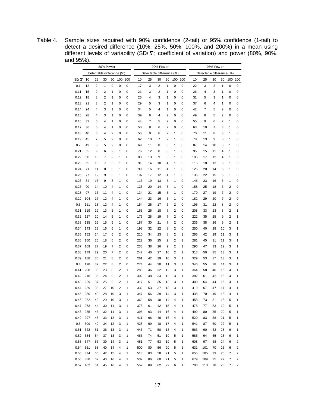Table 4. Sample sizes required with 90% confidence (2-tail) or 95% confidence (1-tail) to detect a desired difference (10%, 25%, 50%, 100%, and 200%) in a mean using different levels of variability  $(SD/\bar{x}$ ; coefficient of variation) and power (80%, 90%, and <u>95%).</u><br>and 95%). and 95%).

|                    |     |                           | 80% Pow er |                |                |   |     |                           | 90% Pow er |                |   |         |     |                           | 95% Pow er |                |                        |         |
|--------------------|-----|---------------------------|------------|----------------|----------------|---|-----|---------------------------|------------|----------------|---|---------|-----|---------------------------|------------|----------------|------------------------|---------|
|                    |     | Detectable difference (%) |            |                |                |   |     | Detectable difference (%) |            |                |   |         |     | Detectable difference (%) |            |                |                        |         |
| SD/ $\overline{x}$ | 10  | 25                        | 30         | 50             | 100 200        |   | 10  | 25                        | 30         | 50             |   | 100 200 | 10  | 25                        | 30         | 50             |                        | 100 200 |
| 0.1                | 12  | 2                         | 1          | 0              | 0              | 0 | 17  | 3                         | 2          | 1              | 0 | 0       | 22  | 3                         | 2          | 1              | 0                      | 0       |
| 0.11               | 15  | 2                         | 2          | 1              | 0              | 0 | 21  | 3                         | 2          | 1              | 0 | 0       | 26  | 4                         | 3          | 1              | 0                      | 0       |
| 0.12               | 18  | 3                         | 2          | 1              | 0              | 0 | 25  | 4                         | 3          | 1              | 0 | 0       | 31  | 5                         | 3          | 1              | 0                      | 0       |
| 0.13               | 21  | 3                         | 2          | 1              | 0              | 0 | 29  | 5                         | 3          | 1              | 0 | 0       | 37  | 6                         | 4          | 1              | 0                      | 0       |
| 0.14               | 24  | 4                         | 3          | 1              | 0              | 0 | 34  | 5                         | 4          | 1              | 0 | 0       | 42  | $\overline{7}$            | 5          | $\overline{2}$ | 0                      | 0       |
| 0.15               | 28  | 4                         | 3          | 1              | 0              | 0 | 39  | 6                         | 4          | $\overline{2}$ | 0 | 0       | 49  | 8                         | 5          | 2              | 0                      | 0       |
| 0.16               | 32  | 5                         | 4          | 1              | 0              | 0 | 44  | 7                         | 5          | $\overline{2}$ | 0 | 0       | 55  | 9                         | 6          | $\overline{2}$ | 1                      | 0       |
| 0.17               | 36  | 6                         | 4          | 1              | 0              | 0 | 50  | 8                         | 6          | $\overline{2}$ | 0 | 0       | 63  | 10                        | 7          | 3              | 1                      | 0       |
| 0.18               | 40  | 6                         | 4          | 2              | 0              | 0 | 56  | 9                         | 6          | 2              | 1 | 0       | 70  | 11                        | 8          | 3              | 1                      | 0       |
| 0.19               | 45  | 7                         | 5          | $\overline{2}$ | 0              | 0 | 62  | 10                        | 7          | $\overline{2}$ | 1 | 0       | 78  | 13                        | 9          | 3              | 1                      | 0       |
| 0.2                | 49  | 8                         | 5          | 2              | 0              | 0 | 69  | 11                        | 8          | 3              | 1 | 0       | 87  | 14                        | 10         | 3              | 1                      | 0       |
| 0.21               | 55  | 9                         | 6          | 2              | 1              | 0 | 76  | 12                        | 8          | 3              | 1 | 0       | 95  | 15                        | 11         | 4              | 1                      | 0       |
| 0.22               | 60  | 10                        | 7          | 2              | 1              | 0 | 83  | 13                        | 9          | 3              | 1 | 0       | 105 | 17                        | 12         | 4              | 1                      | 0       |
| 0.23               | 65  | 10                        | 7          | 3              | 1              | 0 | 91  | 14                        | 10         | 4              | 1 | 0       | 115 | 18                        | 13         | 5              | 1                      | 0       |
| 0.24               | 71  | 11                        | 8          | 3              | 1              | 0 | 99  | 16                        | 11         | 4              | 1 | 0       | 125 | 20                        | 14         | 5              | 1                      | 0       |
| 0.25               | 77  | 12                        | 9          | 3              | 1              | 0 | 107 | 17                        | 12         | 4              | 1 | 0       | 135 | 22                        | 15         | 5              | 1                      | 0       |
| 0.26               | 84  | 13                        | 9          | 3              | 1              | 0 | 116 | 19                        | 13         | 5              | 1 | 0       | 146 | 23                        | 16         | 6              | 1                      | 0       |
| 0.27               | 90  | 14                        | 10         | 4              | 1              | 0 | 125 | 20                        | 14         | 5              | 1 | 0       | 158 | 25                        | 18         | 6              | $\overline{2}$         | 0       |
| 0.28               | 97  | 16                        | 11         | 4              | 1              | 0 | 134 | 21                        | 15         | 5              | 1 | 0       | 170 | 27                        | 19         | $\overline{7}$ | $\overline{2}$         | 0       |
| 0.29               | 104 | 17                        | 12         | 4              | 1              | 0 | 144 | 23                        | 16         | 6              | 1 | 0       | 182 | 29                        | 20         | $\overline{7}$ | $\overline{2}$         | 0       |
| 0.3                | 111 | 18                        | 12         | 4              | 1              | 0 | 154 | 25                        | 17         | 6              | 2 | 0       | 195 | 31                        | 22         | 8              | $\overline{2}$         | 0       |
| 0.31               | 119 | 19                        | 13         | 5              | 1              | 0 | 165 | 26                        | 18         | 7              | 2 | 0       | 208 | 33                        | 23         | 8              | $\overline{2}$         | 1       |
| 0.32               | 127 | 20                        | 14         | 5              | 1              | 0 | 175 | 28                        | 19         | 7              | 2 | 0       | 222 | 35                        | 25         | 9              | 2                      | 1       |
| 0.33               | 135 | 22                        | 15         | 5              | 1              | 0 | 187 | 30                        | 21         | 7              | 2 | 0       | 236 | 38                        | 26         | 9              | $\overline{2}$         | 1       |
| 0.34               | 143 | 23                        | 16         | 6              | 1              | 0 | 198 | 32                        | 22         | 8              | 2 | 0       | 250 | 40                        | 28         | 10             | 3                      | 1       |
| 0.35               | 152 | 24                        | 17         | 6              | 2              | 0 | 210 | 34                        | 23         | 8              | 2 | 1       | 265 | 42                        | 29         | 11             | 3                      | 1       |
| 0.36               | 160 | 26                        | 18         | 6              | 2              | 0 | 222 | 36                        | 25         | 9              | 2 | 1       | 281 | 45                        | 31         | 11             | 3                      | 1       |
| 0.37               | 169 | 27                        | 19         | 7              | 2              | 0 | 235 | 38                        | 26         | 9              | 2 | 1       | 296 | 47                        | 33         | 12             | 3                      | 1       |
| 0.38               | 179 | 29                        | 20         | 7              | 2              | 0 | 247 | 40                        | 27         | 10             | 2 | 1       | 313 | 50                        | 35         | 13             | 3                      | 1       |
| 0.39               | 188 | 30                        | 21         | 8              | 2              | 0 | 261 | 42                        | 29         | 10             | 3 | 1       | 329 | 53                        | 37         | 13             | 3                      | 1       |
| 0.4                | 198 | 32                        | 22         | 8              | $\overline{2}$ | 0 | 274 | 44                        | 30         | 11             | 3 | 1       | 346 | 55                        | 38         | 14             | 3                      | 1       |
| 0.41               | 208 | 33                        | 23         | 8              | 2              | 1 | 288 | 46                        | 32         | 12             | 3 | 1       | 364 | 58                        | 40         | 15             | 4                      | 1       |
| 0.42               | 218 | 35                        | 24         | 9              | $\overline{2}$ | 1 | 302 | 48                        | 34         | 12             | 3 | 1       | 382 | 61                        | 42         | 15             | 4                      | 1       |
| 0.43               | 229 | 37                        | 25         | 9              | 2              | 1 | 317 | 51                        | 35         | 13             | 3 | 1       | 400 | 64                        | 44         | 16             | 4                      | 1       |
| 0.44               | 239 | 38                        | 27         | 10             | 2              | 1 | 332 | 53                        | 37         | 13             | 3 | 1       | 419 | 67                        | 47         | 17             | 4                      | 1       |
| 0.45               | 250 | 40                        | 28         | 10             | 3              | 1 | 347 | 56                        | 39         | 14             | 3 | 1       | 438 | 70                        | 49         | 18             | $\boldsymbol{\Lambda}$ | 1       |
| 0.46               | 262 | 42                        | 29         | 10             | 3              | 1 | 362 | 58                        | 40         | 14             | 4 | 1       | 458 | 73                        | 51         | 18             | 5                      | 1       |
| 0.47               | 273 | 44                        | 30         | 11             | 3              | 1 | 378 | 61                        | 42         | 15             | 4 | 1       | 478 | 77                        | 53         | 19             | 5                      | 1       |
| 0.48               | 285 | 46                        | 32         | 11             | 3              | 1 | 395 | 63                        | 44         | 16             | 4 | 1       | 499 | 80                        | 55         | 20             | 5                      | 1       |
| 0.49               | 297 | 48                        | 33         | 12             | 3              | 1 | 411 | 66                        | 46         | 16             | 4 | 1       | 520 | 83                        | 58         | 21             | 5                      | 1       |
| 0.5                | 309 | 49                        | 34         | 12             | 3              | 1 | 428 | 69                        | 48         | 17             | 4 | 1       | 541 | 87                        | 60         | 22             | 5                      | 1       |
| 0.51               | 322 | 51                        | 36         | 13             | 3              | 1 | 446 | 71                        | 50         | 18             | 4 | 1       | 563 | 90                        | 63         | 23             | 6                      | 1       |
| 0.52               | 334 | 54                        | 37         | 13             | 3              | 1 | 463 | 74                        | 51         | 19             | 5 | 1       | 585 | 94                        | 65         | 23             | 6                      | 1       |
| 0.53               | 347 | 56                        | 39         | 14             | 3              | 1 | 481 | 77                        | 53         | 19             | 5 | 1       | 608 | 97                        | 68         | 24             | 6                      | 2       |
| 0.54               | 361 | 58                        | 40         | 14             | 4              | 1 | 500 | 80                        | 56         | 20             | 5 | 1       | 631 | 101                       | 70         | 25             | 6                      | 2       |
| 0.55               | 374 | 60                        | 42         | 15             | 4              | 1 | 518 | 83                        | 58         | 21             | 5 | 1       | 655 | 105                       | 73         | 26             | 7                      | 2       |
| 0.56               | 388 | 62                        | 43         | 16             | 4              | 1 | 537 | 86                        | 60         | 21             | 5 | 1       | 679 | 109                       | 75         | 27             | 7                      | 2       |
| 0.57               | 402 | 64                        | 45         | 16             | 4              | 1 | 557 | 89                        | 62         | 22             | 6 | 1       | 703 | 113                       | 78         | 28             | 7                      | 2       |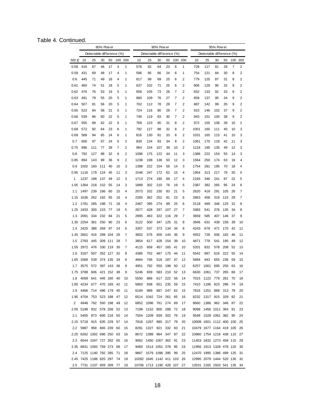# Table 4. Continued.

|                    |                           | 80% Pow er                |            |          |          |         | 90% Pow er              |                  |               |                                                        |          | 95% Pow er |                            |                   |               |            |          |         |
|--------------------|---------------------------|---------------------------|------------|----------|----------|---------|-------------------------|------------------|---------------|--------------------------------------------------------|----------|------------|----------------------------|-------------------|---------------|------------|----------|---------|
|                    |                           | Detectable difference (%) |            |          |          |         |                         |                  |               | Detectable difference (%)<br>Detectable difference (%) |          |            |                            |                   |               |            |          |         |
| SD/ $\overline{x}$ | 10                        | 25                        | 30         | 50       |          | 100 200 | 10                      | 25               | 30            | 50                                                     | 100      | 200        | 10                         | 25                | 30            | 50         | 100 200  |         |
| 0.58               | 416                       | 67                        | 46         | 17       | 4        | 1       | 576                     | 92               | 64            | 23                                                     | 6        | 1          | 728                        | 117               | 81            | 29         | 7        | 2       |
| 0.59               | 431                       | 69                        | 48         | 17       | 4        | 1       | 596                     | 95               | 66            | 24                                                     | 6        | 1          | 754                        | 121               | 84            | 30         | 8        | 2       |
| 0.6                | 445                       | 71                        | 49         | 18       | 4        | 1       | 617                     | 99               | 69            | 25                                                     | 6        | 2          | 779                        | 125               | 87            | 31         | 8        | 2       |
| 0.61               | 460                       | 74                        | 51         | 18       | 5        | 1       | 637                     | 102              | 71            | 25                                                     | 6        | 2          | 806                        | 129               | 90            | 32         | 8        | 2       |
| 0.62               | 476                       | 76                        | 53         | 19       | 5        | 1       | 658                     | 105              | 73            | 26                                                     | 7        | 2          | 832                        | 133               | 92            | 33         | 8        | 2       |
| 0.63               | 491                       | 79                        | 55         | 20       | 5        | 1       | 680                     | 109              | 76            | 27                                                     | 7        | 2          | 859                        | 137               | 95            | 34         | 9        | 2       |
| 0.64               | 507                       | 81                        | 56         | 20       | 5        | 1       | 702                     | 112              | 78            | 28                                                     | 7        | 2          | 887                        | 142               | 99            | 35         | 9        | 2       |
| 0.65               | 523                       | 84                        | 58         | 21       | 5        | 1       | 724                     | 116              | 80            | 29                                                     | 7        | 2          | 915                        | 146               | 102           | 37         | 9        | 2       |
| 0.66               | 539                       | 86                        | 60         | 22       | 5        | 1       | 746                     | 119              | 83            | 30                                                     | 7        | 2          | 943                        | 151               | 105           | 38         | 9        | 2       |
| 0.67               | 555                       | 89                        | 62         | 22       | 6        | 1       | 769                     | 123              | 85            | 31                                                     | 8        | 2          | 972                        | 155               | 108           | 39         | 10       | 2       |
| 0.68               | 572                       | 92                        | 64         | 23       | 6        | 1       | 792                     | 127              | 88            | 32                                                     | 8        | 2          | 1001                       | 160               | 111           | 40         | 10       | 3       |
| 0.69               | 589                       | 94                        | 65         | 24       | 6        | 1       | 816                     | 130              | 91            | 33                                                     | 8        | 2          | 1031                       | 165               | 115           | 41         | 10       | 3       |
| 0.7                | 606                       | 97                        | 67         | 24       | 6        | 2       | 839                     | 134              | 93            | 34                                                     | 8        | 2          | 1061                       | 170               | 118           | 42         | 11       | 3       |
| 0.75               | 696                       | 111                       | 77         | 28       | 7        | 2       | 964                     | 154              | 107           | 39                                                     | 10       | 2          | 1218                       | 195               | 135           | 49         | 12       | 3       |
| 0.8                | 792                       | 127                       | 88         | 32       | 8        | 2       | 1096                    | 175              | 122           | 44                                                     | 11       | 3          | 1386                       | 222               | 154           | 55         | 14       | 3       |
| 0.85               | 894                       | 143                       | 99         | 36       | 9        | 2       | 1238                    | 198              | 138           | 50                                                     | 12       | 3          | 1564                       | 250               | 174           | 63         | 16       | 4       |
| 0.9                | 1002                      | 160                       | 111        | 40       | 10       | 3       | 1388                    | 222              | 154           | 56                                                     | 14       | 3          | 1754                       | 281               | 195           | 70         | 18       | 4       |
| 0.95               | 1116                      | 179                       | 124        | 45       | 11       | 3       | 1546                    | 247              | 172           | 62                                                     | 15       | 4          | 1954                       | 313               | 217           | 78         | 20       | 5       |
| 1                  | 1237                      | 198                       | 137        | 49       | 12       | 3       | 1713                    | 274              | 190           | 69                                                     | 17       | 4          | 2165                       | 346               | 241           | 87         | 22       | 5       |
| 1.05               | 1364                      | 218                       | 152        | 55       | 14       | 3       | 1889                    | 302              | 210           | 76                                                     | 19       | 5          | 2387                       | 382               | 265           | 95         | 24       | 6       |
| 1.1                | 1497                      | 239                       | 166        | 60       | 15       | 4       | 2073                    | 332              | 230           | 83                                                     | 21       | 5          | 2620                       | 419               | 291           | 105        | 26       | 7       |
| 1.15               | 1636                      | 262                       | 182        | 65       | 16       | 4       | 2265                    | 362              | 252           | 91                                                     | 23       | 6          | 2863                       | 458               | 318           | 115        | 29       | 7       |
| 1.2                | 1781                      | 285                       | 198        | 71       | 18       | 4       | 2467                    | 395              | 274           | 99                                                     | 25       | 6          | 3118                       | 499               | 346           | 125        | 31       | 8       |
| 1.25               | 1933                      | 309                       | 215        | 77       | 19       | 5       | 2677                    | 428              | 297           | 107                                                    | 27       | 7          | 3383                       | 541               | 376           | 135        | 34       | 8       |
| 1.3<br>1.35        | 2091<br>2254              | 334<br>361                | 232<br>250 | 84<br>90 | 21<br>23 | 5<br>6  | 2895<br>3122            | 463<br>500       | 322<br>347    | 116<br>125                                             | 29<br>31 | 7<br>8     | 3659<br>3946               | 585               | 407<br>438    | 146<br>158 | 37<br>39 | 9<br>10 |
| 1.4                | 2425                      | 388                       | 269        | 97       | 24       | 6       | 3357                    | 537              | 373           | 134                                                    | 34       | 8          | 4243                       | 631<br>679        | 471           | 170        | 42       | 11      |
| 1.45               | 2601                      | 416                       | 289        | 104      | 26       | 7       | 3602                    | 576              | 400           | 144                                                    | 36       | 9          | 4552                       | 728               | 506           | 182        | 46       | 11      |
| 1.5                | 2783                      | 445                       | 309        | 111      | 28       | 7       | 3854                    | 617              | 428           | 154                                                    | 39       | 10         | 4871                       | 779               | 541           | 195        | 49       | 12      |
| 1.55               | 2972                      | 476                       | 330        | 119      | 30       | 7       | 4115                    | 658              | 457           | 165                                                    | 41       | 10         | 5201                       | 832               | 578           | 208        | 52       | 13      |
| 1.6                | 3167                      | 507                       | 352 127    |          | 32       | 8       | 4385                    | 702              | 487           | 175                                                    | 44       | 11         | 5542                       | 887               | 616           | 222        | 55       | 14      |
| 1.65               | 3368                      | 539                       | 374        | 135      | 34       | 8       | 4664                    | 746              | 518           | 187                                                    | 47       | 12         | 5894                       | 943               | 655           | 236        | 59       | 15      |
| 1.7                | 3575                      | 572                       | 397        | 143      | 36       | 9       | 4951                    | 792              | 550           | 198                                                    | 50       | 12         | 6257                       | 1001              | 695           | 250        | 63       | 16      |
| 1.75               | 3788                      | 606                       | 421        | 152      | 38       | 9       | 5246                    | 839              | 583           | 210                                                    | 52       | 13         | 6630                       | 1061              | 737           | 265        | 66       | 17      |
|                    | 1.8 4008 641 445 160 40   |                           |            |          |          | 10      | 5550                    | 888              | 617 222       |                                                        | 56       | 14         |                            | 7015 1122 779 281 |               |            | - 70     | 18      |
|                    | 1.85 4234                 | 677                       |            | 470 169  | 42       | 11      | 5863                    | 938              | 651           | 235                                                    | 59       | 15         |                            | 7410 1186 823     |               | 296        | 74       | 19      |
| 1.9                | 4466                      | 714                       |            | 496 179  | 45       | 11      | 6184                    | 989              | 687           | 247                                                    | 62       | 15         | 7816                       | 1251              | 868           | 313        | 78       | 20      |
|                    | 1.95 4704                 | 753 523 188               |            |          | 47       | 12      | 6514                    | 1042 724         |               | 261                                                    | 65       | 16         | 8232                       | 1317 915          |               | 329        | 82       | 21      |
| 2                  | 4948                      | 792                       |            | 550 198  | 49       | 12      | 6852                    | 1096             | 761           | 274                                                    | 69       | 17         | 8660                       |                   | 1386 962 346  |            | 87       | 22      |
|                    | 2.05 5198 832 578 208     |                           |            |          | 52       | 13      | 7199                    | 1152             | 800           | 288                                                    | 72       | 18         | 9098                       |                   | 1456 1011 364 |            | 91       | 23      |
| 2.1                |                           | 5455 873                  |            | 606 218  | 55       | 14      | 7554                    | 1209             | 839           | 302                                                    | 76       | 19         | 9548                       | 1528 1061 382     |               |            | 95       | 24      |
|                    | 2.15 5718 915 635 229     |                           |            |          | 57       | 14      | 7918                    | 1267             | 880           | 317                                                    | 79       | 20         | 10008 1601 1112 400 100 25 |                   |               |            |          |         |
| 2.2                | 5987                      | 958 665 239               |            |          | 60       | 15      | 8291                    | 1327             | 921           | 332                                                    | 83       | 21         | 10479 1677 1164 419 105 26 |                   |               |            |          |         |
|                    | 2.25 6262 1002 696 250    |                           |            |          | 63       | 16      | 8672                    | 1388             | 964           | 347                                                    | 87       | 22         | 10960 1754 1218 438 110 27 |                   |               |            |          |         |
| 2.3                | 6544 1047 727 262 65      |                           |            |          |          | 16      | 9062                    | 1450 1007 362 91 |               |                                                        |          | 23         | 11453 1832 1273 458 115 29 |                   |               |            |          |         |
|                    | 2.35 6831 1093 759 273 68 |                           |            |          |          | 17      | 9460                    | 1514 1051 378 95 |               |                                                        |          | 24         | 11956 1913 1328 478 120 30 |                   |               |            |          |         |
| 2.4                | 7125 1140 792 285         |                           |            |          | -71      | 18      | 9867                    |                  | 1579 1096 395 |                                                        | 99       | 25         | 12470 1995 1386 499 125    |                   |               |            |          | - 31    |
|                    | 2.45 7425 1188 825 297    |                           |            |          | -74      | 19      | 10282 1645 1142 411 103 |                  |               |                                                        |          | -26        | 12995 2079 1444 520 130 32 |                   |               |            |          |         |
| 2.5                |                           | 7731 1237 859 309 77      |            |          |          | 19      | 10706 1713 1190 428 107 |                  |               |                                                        |          | 27         | 13531 2165 1503 541 135 34 |                   |               |            |          |         |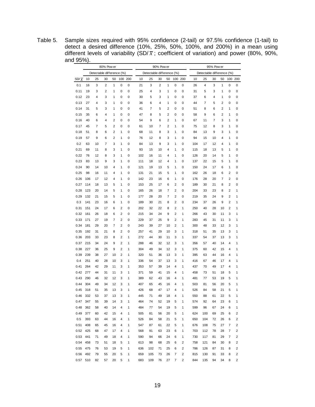Table 5. Sample sizes required with 95% confidence (2-tail) or 97.5% confidence (1-tail) to detect a desired difference (10%, 25%, 50%, 100%, and 200%) in a mean using different levels of variability  $(SD/\bar{x}$ ; coefficient of variation) and power (80%, 90%, and <u>95%).</u><br>and <u>95%).</u> and 95%).

|                       |     |                           | 80% Pow er     |    |     |             |     |                           | 90% Pow er     |                         |                |                         |     |                           | 95% Pow er |                |     |                         |
|-----------------------|-----|---------------------------|----------------|----|-----|-------------|-----|---------------------------|----------------|-------------------------|----------------|-------------------------|-----|---------------------------|------------|----------------|-----|-------------------------|
|                       |     | Detectable difference (%) |                |    |     |             |     | Detectable difference (%) |                |                         |                |                         |     | Detectable difference (%) |            |                |     |                         |
| SD/ $\overline{\chi}$ | 10  | 25                        | 30             | 50 | 100 | 200         | 10  | 25                        | 30             | 50                      | 100            | 200                     | 10  | 25                        | 30         | 50             | 100 | 200                     |
| 0.1                   | 16  | 3                         | $\overline{2}$ | 1  | 0   | $\mathbf 0$ | 21  | 3                         | $\overline{2}$ | 1                       | 0              | 0                       | 26  | $\overline{4}$            | 3          | 1              | 0   | 0                       |
| 0.11                  | 19  | 3                         | $\overline{2}$ | 1  | 0   | 0           | 25  | 4                         | 3              | 1                       | 0              | 0                       | 31  | 5                         | 3          | 1              | 0   | 0                       |
| 0.12                  | 23  | 4                         | 3              | 1  | 0   | 0           | 30  | 5                         | 3              | 1                       | 0              | 0                       | 37  | 6                         | 4          | 1              | 0   | 0                       |
| 0.13                  | 27  | 4                         | 3              | 1  | 0   | 0           | 36  | 6                         | 4              | 1                       | 0              | 0                       | 44  | 7                         | 5          | $\overline{2}$ | 0   | 0                       |
| 0.14                  | 31  | 5                         | 3              | 1  | 0   | 0           | 41  | 7                         | 5              | $\overline{\mathbf{c}}$ | 0              | 0                       | 51  | 8                         | 6          | 2              | 1   | 0                       |
| 0.15                  | 35  | 6                         | 4              | 1  | 0   | 0           | 47  | 8                         | 5              | $\overline{2}$          | 0              | 0                       | 58  | 9                         | 6          | 2              | 1   | 0                       |
| 0.16                  | 40  | 6                         | 4              | 2  | 0   | 0           | 54  | 9                         | 6              | $\overline{2}$          | 1              | 0                       | 67  | 11                        | 7          | 3              | 1   | 0                       |
| 0.17                  | 45  | 7                         | 5              | 2  | 0   | 0           | 61  | 10                        | 7              | $\overline{2}$          | 1              | 0                       | 75  | 12                        | 8          | 3              | 1   | 0                       |
| 0.18                  | 51  | 8                         | 6              | 2  | 1   | 0           | 68  | 11                        | 8              | 3                       | 1              | 0                       | 84  | 13                        | 9          | 3              | 1   | 0                       |
| 0.19                  | 57  | 9                         | 6              | 2  | 1   | 0           | 76  | 12                        | 8              | 3                       | 1              | 0                       | 94  | 15                        | 10         | 4              | 1   | 0                       |
| 0.2                   | 63  | 10                        | 7              | 3  | 1   | 0           | 84  | 13                        | 9              | 3                       | 1              | 0                       | 104 | 17                        | 12         | 4              | 1   | 0                       |
| 0.21                  | 69  | 11                        | 8              | 3  | 1   | 0           | 93  | 15                        | 10             | 4                       | 1              | 0                       | 115 | 18                        | 13         | 5              | 1   | 0                       |
| 0.22                  | 76  | 12                        | 8              | 3  | 1   | 0           | 102 | 16                        | 11             | 4                       | 1              | 0                       | 126 | 20                        | 14         | 5              | 1   | 0                       |
| 0.23                  | 83  | 13                        | 9              | 3  | 1   | 0           | 111 | 18                        | 12             | 4                       | 1              | 0                       | 137 | 22                        | 15         | 5              | 1   | 0                       |
| 0.24                  | 90  | 14                        | 10             | 4  | 1   | 0           | 121 | 19                        | 13             | 5                       | 1              | 0                       | 150 | 24                        | 17         | 6              | 1   | 0                       |
| 0.25                  | 98  | 16                        | 11             | 4  | 1   | 0           | 131 | 21                        | 15             | 5                       | 1              | 0                       | 162 | 26                        | 18         | 6              | 2   | 0                       |
| 0.26                  | 106 | 17                        | 12             | 4  | 1   | 0           | 142 | 23                        | 16             | 6                       | 1              | 0                       | 176 | 28                        | 20         | 7              | 2   | 0                       |
| 0.27                  | 114 | 18                        | 13             | 5  | 1   | 0           | 153 | 25                        | 17             | 6                       | 2              | 0                       | 189 | 30                        | 21         | 8              | 2   | 0                       |
| 0.28                  | 123 | 20                        | 14             | 5  | 1   | 0           | 165 | 26                        | 18             | 7                       | 2              | 0                       | 204 | 33                        | 23         | 8              | 2   | 1                       |
| 0.29                  | 132 | 21                        | 15             | 5  | 1   | 0           | 177 | 28                        | 20             | 7                       | $\overline{2}$ | 0                       | 219 | 35                        | 24         | 9              | 2   | 1                       |
| 0.3                   | 141 | 23                        | 16             | 6  | 1   | 0           | 189 | 30                        | 21             | 8                       | $\overline{2}$ | 0                       | 234 | 37                        | 26         | 9              | 2   | 1                       |
| 0.31                  | 151 | 24                        | 17             | 6  | 2   | 0           | 202 | 32                        | 22             | 8                       | 2              | 1                       | 250 | 40                        | 28         | 10             | 2   | 1                       |
| 0.32                  | 161 | 26                        | 18             | 6  | 2   | 0           | 215 | 34                        | 24             | 9                       | $\overline{2}$ | 1                       | 266 | 43                        | 30         | 11             | 3   | 1                       |
| 0.33                  | 171 | 27                        | 19             | 7  | 2   | 0           | 229 | 37                        | 25             | 9                       | $\overline{2}$ | 1                       | 283 | 45                        | 31         | 11             | 3   | 1                       |
| 0.34                  | 181 | 29                        | 20             | 7  | 2   | 0           | 243 | 39                        | 27             | 10                      | $\overline{2}$ | 1                       | 300 | 48                        | 33         | 12             | 3   | 1                       |
| 0.35                  | 192 | 31                        | 21             | 8  | 2   | 0           | 257 | 41                        | 29             | 10                      | 3              | 1                       | 318 | 51                        | 35         | 13             | 3   | 1                       |
| 0.36                  | 203 | 33                        | 23             | 8  | 2   | 1           | 272 | 44                        | 30             | 11                      | 3              | 1                       | 337 | 54                        | 37         | 13             | 3   | 1                       |
| 0.37                  | 215 | 34                        | 24             | 9  | 2   | 1           | 288 | 46                        | 32             | 12                      | 3              | 1                       | 356 | 57                        | 40         | 14             | 4   | 1                       |
| 0.38                  | 227 | 36                        | 25             | 9  | 2   | 1           | 304 | 49                        | 34             | 12                      | 3              | 1                       | 375 | 60                        | 42         | 15             | 4   | 1                       |
| 0.39                  | 239 | 38                        | 27             | 10 | 2   | 1           | 320 | 51                        | 36             | 13                      | 3              | 1                       | 395 | 63                        | 44         | 16             | 4   | 1                       |
| 0.4                   | 251 | 40                        | 28             | 10 | 3   | 1           | 336 | 54                        | 37             | 13                      | 3              | 1                       | 416 | 67                        | 46         | 17             | 4   | 1                       |
| 0.41                  | 264 | 42                        | 29             | 11 | 3   | 1           | 353 | 57                        | 39             | 14                      | 4              | 1                       | 437 | 70                        | 49         | 17             | 4   | 1                       |
| 0.42                  | 277 | 44                        | 31             | 11 | 3   | 1           | 371 | 59                        | 41             | 15                      | 4              | 1                       | 458 | 73                        | 51         | 18             | 5   | 1                       |
| 0.43                  | 290 | 46                        | 32             | 12 | 3   | 1           | 389 | 62                        | 43             | 16                      | 4              | 1                       | 481 | 77                        | 53         | 19             | 5   | 1                       |
| 0.44                  | 304 | 49                        | 34             | 12 | 3   | 1           | 407 | 65                        | 45             | 16                      | 4              | 1                       | 503 | 81                        | 56         | 20             | 5   | 1                       |
| 0.45                  | 318 | 51                        | 35             | 13 | 3   | 1           | 426 | 68                        | 47             | 17                      | 4              | 1                       | 526 | 84                        | 58         | 21             | 5   | 1                       |
| 0.46                  | 332 | 53                        | 37             | 13 | 3   | 1           | 445 | 71                        | 49             | 18                      | 4              | 1                       | 550 | 88                        | 61         | 22             | 5   | 1                       |
| 0.47                  | 347 | 55                        | 39             | 14 | 3   | 1           | 464 | 74                        | 52             | 19                      | 5              | 1                       | 574 | 92                        | 64         | 23             | 6   | 1                       |
| 0.48                  | 362 | 58                        | 40             | 14 | 4   | 1           | 484 | 77                        | 54             | 19                      | 5              | 1                       | 599 | 96                        | 67         | 24             | 6   | 1                       |
| 0.49                  | 377 | 60                        | 42             | 15 | 4   | 1           | 505 | 81                        | 56             | 20                      | 5              | 1                       | 624 | 100                       | 69         | 25             | 6   | $\overline{2}$          |
| 0.5                   | 393 | 63                        | 44             | 16 | 4   | 1           | 526 | 84                        | 58             | 21                      | 5              | 1                       | 650 | 104                       | 72         | 26             | 6   | $\overline{2}$          |
| 0.51                  | 408 | 65                        | 45             | 16 | 4   | 1           | 547 | 87                        | 61             | 22                      | 5              | 1                       | 676 | 108                       | 75         | 27             | 7   | $\overline{2}$          |
| 0.52                  | 425 | 68                        | 47             | 17 | 4   | 1           | 568 | 91                        | 63             | 23                      | 6              | 1                       | 703 | 112                       | 78         | 28             | 7   | $\overline{\mathbf{c}}$ |
| 0.53                  | 441 | 71                        | 49             | 18 | 4   | 1           | 590 | 94                        | 66             | 24                      | 6              | 1                       | 730 | 117                       | 81         | 29             | 7   | 2                       |
| 0.54                  | 458 | 73                        | 51             | 18 | 5   | 1           | 613 | 98                        | 68             | 25                      | 6              | 2                       | 758 | 121                       | 84         | 30             | 8   | 2                       |
| 0.55                  | 475 | 76                        | 53             | 19 | 5   | 1           | 636 | 102                       | 71             | 25                      | 6              | 2                       | 786 | 126                       | 87         | 31             | 8   | 2                       |
| 0.56                  | 492 | 79                        | 55             | 20 | 5   | 1           | 659 | 105                       | 73             | 26                      | 7              | 2                       | 815 | 130                       | 91         | 33             | 8   | 2                       |
| 0.57                  | 510 | 82                        | 57             | 20 | 5   | 1           | 683 | 109                       | 76             | 27                      | 7              | $\overline{\mathbf{c}}$ | 844 | 135                       | 94         | 34             | 8   | 2                       |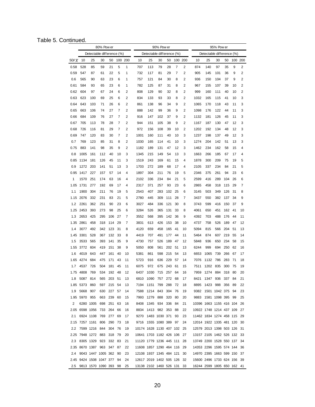# Table 5. Continued.

|                    |                |               | 80% Pow er                 |            |          |        |                            |                           | 90% Pow er      |           |                |        |                         |                            | 95% Pow er |            |          |         |
|--------------------|----------------|---------------|----------------------------|------------|----------|--------|----------------------------|---------------------------|-----------------|-----------|----------------|--------|-------------------------|----------------------------|------------|------------|----------|---------|
|                    |                |               | Detectable difference (%)  |            |          |        |                            | Detectable difference (%) |                 |           |                |        |                         | Detectable difference (%)  |            |            |          |         |
| SD/ $\overline{x}$ | 10             | 25            | 30                         | 50         | 100 200  |        | 10                         | 25                        | 30              | 50        | 100 200        |        | 10                      | 25                         | 30         | 50         |          | 100 200 |
| 0.58               | 528            | 85            | 59                         | 21         | 5        | 1      | 707                        | 113                       | 79              | 28        | 7              | 2      | 874                     | 140                        | 97         | 35         | 9        | 2       |
| 0.59               | 547            | 87            | 61                         | 22         | 5        | 1      | 732                        | 117                       | 81              | 29        | $\overline{7}$ | 2      | 905                     | 145                        | 101        | 36         | 9        | 2       |
| 0.6                | 565            | 90            | 63                         | 23         | 6        | 1      | 757                        | 121                       | 84              | 30        | 8              | 2      | 936                     | 150                        | 104        | 37         | 9        | 2       |
| 0.61               | 584            | 93            | 65                         | 23         | 6        | 1      | 782                        | 125                       | 87              | 31        | 8              | 2      | 967                     | 155                        | 107        | 39         | 10       | 2       |
| 0.62               | 604            | 97            | 67                         | 24         | 6        | 2      | 808                        | 129                       | 90              | 32        | 8              | 2      | 999                     | 160                        | 111        | 40         | 10       | 2       |
| 0.63               | 623            | 100           | 69                         | 25         | 6        | 2      | 834                        | 133                       | 93              | 33        | 8              | 2      | 1032                    | 165                        | 115        | 41         | 10       | 3       |
| 0.64               | 643            | 103           | 71                         | 26         | 6        | 2      | 861                        | 138                       | 96              | 34        | 9              | 2      | 1065                    | 170                        | 118        | 43         | 11       | 3       |
| 0.65               | 663            | 106           | 74                         | 27         | 7        | 2      | 888                        | 142                       | 99              | 36        | 9              | 2      | 1098                    | 176                        | 122        | 44         | 11       | 3       |
| 0.66               | 684            | 109           | 76                         | 27         | 7        | 2      | 916                        | 147                       | 102             | 37        | 9              | 2      | 1132                    | 181                        | 126        | 45         | 11       | 3       |
| 0.67               | 705            | 113           | 78                         | 28         | 7        | 2      | 944                        | 151                       | 105             | 38        | 9              | 2      | 1167                    | 187                        | 130        | 47         | 12       | 3       |
| 0.68               | 726            | 116           | 81                         | 29         | 7        | 2      | 972                        | 156                       | 108             | 39        | 10             | 2      | 1202                    | 192                        | 134        | 48         | 12       | 3       |
| 0.69               | 747            | 120           | 83                         | 30         | 7        | 2      | 1001                       | 160                       | 111             | 40        | 10             | 3      | 1237                    | 198                        | 137        | 49         | 12       | 3       |
| 0.7                | 769            | 123           | 85                         | 31         | 8        | 2      | 1030                       | 165                       | 114             | 41        | 10             | 3      | 1274                    | 204                        | 142        | 51         | 13       | 3       |
| 0.75               | 883            | 141           | 98                         | 35         | 9        | 2      | 1182                       | 189                       | 131             | 47        | 12             | 3      | 1462                    | 234                        | 162        | 58         | 15       | 4       |
| 0.8                | 1005           | 161           | 112                        | 40         | 10       | 3      | 1345                       | 215                       | 149             | 54        | 13             | 3      | 1663                    | 266                        | 185        | 67         | 17       | 4       |
| 0.85               | 1134           | 181           | 126                        | 45         | 11       | 3      | 1519                       | 243                       | 169             | 61        | 15             | 4      | 1878                    | 300                        | 209        | 75         | 19       | 5       |
| 0.9                | 1272           | 203           | 141                        | 51         | 13       | 3      | 1703                       | 272                       | 189             | 68        | 17             | 4      | 2105                    | 337                        | 234        | 84         | 21       | 5       |
| 0.95               | 1417           | 227           | 157                        | 57         | 14       | 4      | 1897                       | 304                       | 211             | 76        | 19             | 5      | 2346                    | 375                        | 261        | 94         | 23       | 6       |
| 1                  | 1570           | 251           | 174                        | 63         | 16       | 4      | 2102                       | 336                       | 234             | 84        | 21             | 5      | 2599                    | 416                        | 289        | 104        | 26       | 6       |
| 1.05<br>1.1        | 1731<br>1900   | 277<br>304    | 192<br>211                 | 69<br>76   | 17<br>19 | 4<br>5 | 2317<br>2543               | 371<br>407                | 257<br>283      | 93<br>102 | 23<br>25       | 6<br>6 | 2865<br>3145            | 458<br>503                 | 318<br>349 | 115<br>126 | 29<br>31 | 7<br>8  |
| 1.15               | 2076           | 332           | 231                        | 83         | 21       | 5      | 2780                       | 445                       | 309             | 111       | 28             | 7      | 3437                    | 550                        | 382        | 137        | 34       | 9       |
| 1.2                | 2261           | 362           | 251                        | 90         | 23       | 6      | 3027                       | 484                       | 336             | 121       | 30             | 8      | 3743                    | 599                        | 416        | 150        | 37       | 9       |
| 1.25               | 2453           | 393           | 273                        | 98         | 25       | 6      | 3284                       | 526                       | 365             | 131       | 33             | 8      | 4061                    | 650                        | 451        | 162        | 41       | 10      |
| 1.3                | 2653           | 425           | 295                        | 106        | 27       | 7      | 3552                       | 568                       | 395             | 142       | 36             | 9      | 4392                    | 703                        | 488        | 176        | 44       | 11      |
| 1.35               | 2861           | 458           | 318                        | 114        | 29       | 7      | 3831                       | 613                       | 426             | 153       | 38             | 10     | 4737                    | 758                        | 526        | 189        | 47       | 12      |
| 1.4                | 3077           | 492           | 342                        | 123        | 31       | 8      | 4120                       | 659                       | 458             | 165       | 41             | 10     | 5094                    | 815                        | 566        | 204        | 51       | 13      |
| 1.45               | 3301           | 528           | 367                        | 132        | 33       | 8      | 4419                       | 707                       | 491             | 177       | 44             | 11     | 5464                    | 874                        | 607        | 219        | 55       | 14      |
| 1.5                | 3533           | 565           | 393                        | 141        | 35       | 9      | 4730                       | 757                       | 526             | 189       | 47             | 12     | 5848                    | 936                        | 650        | 234        | 58       | 15      |
| 1.55               | 3772           | 604           | 419                        | 151        | 38       | 9      | 5050                       | 808                       | 561             | 202       | 51             | 13     | 6244                    | 999                        | 694        | 250        | 62       | 16      |
| 1.6                | 4019           | 643           | 447                        | 161        | 40       | 10     | 5381                       | 861                       | 598             | 215       | 54             | 13     | 6653                    | 1065                       | 739        | 266        | 67       | 17      |
| 1.65               | 4274           | 684           | 475                        | 171        | 43       | 11     | 5723                       | 916                       | 636             | 229       | 57             | 14     | 7076                    | 1132                       | 786        | 283        | 71       | 18      |
| 1.7                | 4537           | 726           | 504                        | 181        | 45       | 11     | 6075                       | 972                       | 675             | 243       | 61             | 15     | 7511                    | 1202                       | 835        | 300        | 75       | 19      |
| 1.75               | 4808           | 769           | 534                        | 192        | 48       | 12     | 6437                       | 1030                      | 715             | 257       | 64             | 16     | 7959                    | 1274                       | 884        | 318        | 80       | 20      |
| 1.8                | 5087 814       |               |                            | 565 203 51 |          | 13     |                            | 6810 1090 757 272 68      |                 |           |                | 17     |                         | 8421 1347 936 337 84       |            |            |          | 21      |
|                    | 1.85 5373 860  |               | 597 215                    |            | -54      | 13     | 7194                       | 1151 799 288              |                 |           | 72             | 18     | 8895                    | 1423 988 356               |            |            | -89      | 22      |
| 1.9                | 5668 907       |               | 630 227 57                 |            |          | 14     | 7588                       | 1214 843 304              |                 |           | - 76           | 19     |                         | 9382 1501 1042 375 94      |            |            |          | 23      |
|                    | 1.95 5970 955  |               | 663 239                    |            | 60       | 15     | 7993                       | 1279 888 320              |                 |           | -80            | 20     |                         | 9883 1581 1098 395 99      |            |            |          | 25      |
| 2                  |                | 6280 1005     | 698 251                    |            | 63       | 16     | 8408                       |                           | 1345 934 336 84 |           |                | 21     |                         | 10396 1663 1155 416 104    |            |            |          | 26      |
|                    | 2.05 6598 1056 |               | 733 264                    |            | 66       | 16     | 8834                       | 1413 982 353 88           |                 |           |                | 22     |                         | 10922 1748 1214 437 109    |            |            |          | 27      |
| 2.1                |                | 6924 1108     | 769                        | 277 69     |          | 17     |                            | 9270 1483 1030 371        |                 |           | 93             | 23     |                         | 11462 1834 1274 458 115    |            |            |          | 29      |
|                    | 2.15 7257 1161 |               | 806                        | 290        | -73      | 18     |                            | 9716 1555 1080 389 97     |                 |           |                | 24     |                         | 12014 1922 1335 481 120    |            |            |          | 30      |
| 2.2                |                |               | 7599 1216 844              | 304        | -76      | 19     | 10174 1628 1130 407 102 25 |                           |                 |           |                |        | 12579 2013 1398 503 126 |                            |            |            |          | 31      |
|                    |                |               | 2.25 7948 1272 883         | 318 79     |          | 20     | 10641 1703 1182 426 106 27 |                           |                 |           |                |        | 13157 2105 1462 526 132 |                            |            |            |          | 33      |
| 2.3                |                | 8305 1329 923 |                            | 332 83     |          | 21     | 11120 1779 1236 445 111 28 |                           |                 |           |                |        | 13749 2200 1528 550 137 |                            |            |            |          | 34      |
| 2.35               |                |               | 8670 1387 963 347 87       |            |          | 22     | 11608 1857 1290 464 116 29 |                           |                 |           |                |        |                         | 14353 2296 1595 574 144    |            |            |          | 36      |
| 2.4                |                |               | 9043 1447 1005 362 90      |            |          | 23     | 12108 1937 1345 484 121 30 |                           |                 |           |                |        |                         | 14970 2395 1663 599 150    |            |            |          | 37      |
|                    |                |               | 2.45 9424 1508 1047 377 94 |            |          | 24     | 12617 2019 1402 505 126 32 |                           |                 |           |                |        |                         | 15600 2496 1733 624 156    |            |            |          | 39      |
| 2.5                |                |               | 9813 1570 1090 393 98      |            |          | 25     | 13138 2102 1460 526 131 33 |                           |                 |           |                |        |                         | 16244 2599 1805 650 162 41 |            |            |          |         |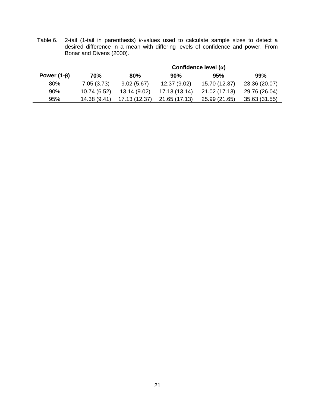|                   |              |               |               | Confidence level $(\alpha)$ |               |
|-------------------|--------------|---------------|---------------|-----------------------------|---------------|
| Power $(1-\beta)$ | 70%          | 80%           | 90%           | 95%                         | 99%           |
| 80%               | 7.05(3.73)   | 9.02(5.67)    | 12.37 (9.02)  | 15.70 (12.37)               | 23.36 (20.07) |
| 90%               | 10.74 (6.52) | 13.14 (9.02)  | 17.13 (13.14) | 21.02 (17.13)               | 29.76 (26.04) |
| 95%               | 14.38 (9.41) | 17.13 (12.37) | 21.65 (17.13) | 25.99 (21.65)               | 35.63 (31.55) |

Table 6. 2-tail (1-tail in parenthesis) *k*-values used to calculate sample sizes to detect a desired difference in a mean with differing levels of confidence and power. From Bonar and Divens (2000).